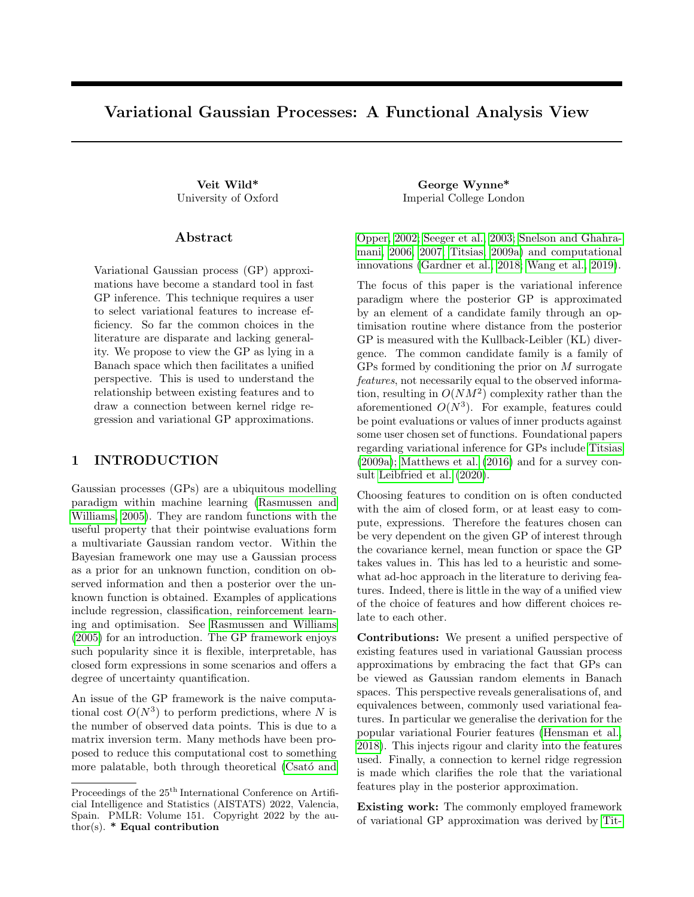# <span id="page-0-0"></span>Variational Gaussian Processes: A Functional Analysis View

#### Abstract

Variational Gaussian process (GP) approximations have become a standard tool in fast GP inference. This technique requires a user to select variational features to increase efficiency. So far the common choices in the literature are disparate and lacking generality. We propose to view the GP as lying in a Banach space which then facilitates a unified perspective. This is used to understand the relationship between existing features and to draw a connection between kernel ridge regression and variational GP approximations.

### 1 INTRODUCTION

Gaussian processes (GPs) are a ubiquitous modelling paradigm within machine learning [\(Rasmussen and](#page-9-0) [Williams, 2005\)](#page-9-0). They are random functions with the useful property that their pointwise evaluations form a multivariate Gaussian random vector. Within the Bayesian framework one may use a Gaussian process as a prior for an unknown function, condition on observed information and then a posterior over the unknown function is obtained. Examples of applications include regression, classification, reinforcement learning and optimisation. See [Rasmussen and Williams](#page-9-0) [\(2005\)](#page-9-0) for an introduction. The GP framework enjoys such popularity since it is flexible, interpretable, has closed form expressions in some scenarios and offers a degree of uncertainty quantification.

An issue of the GP framework is the naive computational cost  $O(N^3)$  to perform predictions, where N is the number of observed data points. This is due to a matrix inversion term. Many methods have been proposed to reduce this computational cost to something more palatable, both through theoretical (Csató and

Veit Wild\* George Wynne\* University of Oxford Imperial College London

> [Opper, 2002;](#page-8-0) [Seeger et al., 2003;](#page-9-1) [Snelson and Ghahra](#page-9-2)[mani, 2006,](#page-9-2) [2007;](#page-9-3) [Titsias, 2009a\)](#page-9-4) and computational innovations [\(Gardner et al., 2018;](#page-8-1) [Wang et al., 2019\)](#page-9-5).

> The focus of this paper is the variational inference paradigm where the posterior GP is approximated by an element of a candidate family through an optimisation routine where distance from the posterior GP is measured with the Kullback-Leibler (KL) divergence. The common candidate family is a family of GPs formed by conditioning the prior on M surrogate features, not necessarily equal to the observed information, resulting in  $O(NM^2)$  complexity rather than the aforementioned  $O(N^3)$ . For example, features could be point evaluations or values of inner products against some user chosen set of functions. Foundational papers regarding variational inference for GPs include [Titsias](#page-9-4) [\(2009a\)](#page-9-4); [Matthews et al. \(2016\)](#page-9-6) and for a survey consult [Leibfried et al. \(2020\)](#page-9-7).

> Choosing features to condition on is often conducted with the aim of closed form, or at least easy to compute, expressions. Therefore the features chosen can be very dependent on the given GP of interest through the covariance kernel, mean function or space the GP takes values in. This has led to a heuristic and somewhat ad-hoc approach in the literature to deriving features. Indeed, there is little in the way of a unified view of the choice of features and how different choices relate to each other.

> Contributions: We present a unified perspective of existing features used in variational Gaussian process approximations by embracing the fact that GPs can be viewed as Gaussian random elements in Banach spaces. This perspective reveals generalisations of, and equivalences between, commonly used variational features. In particular we generalise the derivation for the popular variational Fourier features [\(Hensman et al.,](#page-8-2) [2018\)](#page-8-2). This injects rigour and clarity into the features used. Finally, a connection to kernel ridge regression is made which clarifies the role that the variational features play in the posterior approximation.

> Existing work: The commonly employed framework of variational GP approximation was derived by [Tit-](#page-9-4)

Proceedings of the  $25<sup>th</sup>$  International Conference on Artificial Intelligence and Statistics (AISTATS) 2022, Valencia, Spain. PMLR: Volume 151. Copyright 2022 by the author(s).  $*$  Equal contribution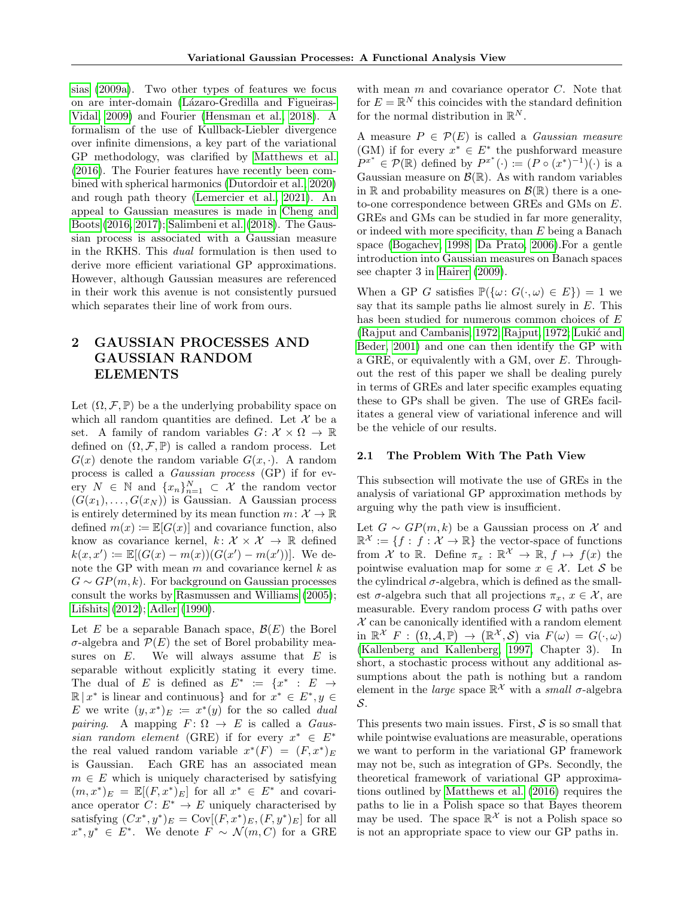[sias \(2009a\)](#page-9-4). Two other types of features we focus on are inter-domain (Lázaro-Gredilla and Figueiras-[Vidal, 2009\)](#page-9-8) and Fourier [\(Hensman et al., 2018\)](#page-8-2). A formalism of the use of Kullback-Liebler divergence over infinite dimensions, a key part of the variational GP methodology, was clarified by [Matthews et al.](#page-9-6) [\(2016\)](#page-9-6). The Fourier features have recently been combined with spherical harmonics [\(Dutordoir et al., 2020\)](#page-8-3) and rough path theory [\(Lemercier et al., 2021\)](#page-9-9). An appeal to Gaussian measures is made in [Cheng and](#page-8-4) [Boots \(2016,](#page-8-4) [2017\)](#page-8-5); [Salimbeni et al. \(2018\)](#page-9-10). The Gaussian process is associated with a Gaussian measure in the RKHS. This dual formulation is then used to derive more efficient variational GP approximations. However, although Gaussian measures are referenced in their work this avenue is not consistently pursued which separates their line of work from ours.

# 2 GAUSSIAN PROCESSES AND GAUSSIAN RANDOM ELEMENTS

Let  $(\Omega, \mathcal{F}, \mathbb{P})$  be a the underlying probability space on which all random quantities are defined. Let  $\mathcal X$  be a set. A family of random variables  $G: \mathcal{X} \times \Omega \to \mathbb{R}$ defined on  $(\Omega, \mathcal{F}, \mathbb{P})$  is called a random process. Let  $G(x)$  denote the random variable  $G(x, \cdot)$ . A random process is called a Gaussian process (GP) if for every  $N \in \mathbb{N}$  and  $\{x_n\}_{n=1}^N \subset \mathcal{X}$  the random vector  $(G(x_1),...,G(x_N))$  is Gaussian. A Gaussian process is entirely determined by its mean function  $m: \mathcal{X} \to \mathbb{R}$ defined  $m(x) \coloneqq \mathbb{E}[G(x)]$  and covariance function, also know as covariance kernel,  $k: \mathcal{X} \times \mathcal{X} \rightarrow \mathbb{R}$  defined  $k(x, x') := \mathbb{E}[(G(x) - m(x))(G(x') - m(x'))]$ . We denote the GP with mean  $m$  and covariance kernel  $k$  as  $G \sim GP(m, k)$ . For background on Gaussian processes consult the works by [Rasmussen and Williams \(2005\)](#page-9-0); [Lifshits \(2012\)](#page-9-11); [Adler \(1990\)](#page-8-6).

Let E be a separable Banach space,  $\mathcal{B}(E)$  the Borel  $\sigma$ -algebra and  $\mathcal{P}(E)$  the set of Borel probability measures on  $E$ . We will always assume that  $E$  is separable without explicitly stating it every time. The dual of E is defined as  $E^* := \{x^* : E \to$  $\mathbb{R} | x^*$  is linear and continuous} and for  $x^* \in E^*, y \in$ E we write  $(y, x^*)_E := x^*(y)$  for the so called *dual* pairing. A mapping  $F: \Omega \to E$  is called a *Gaus*sian random element (GRE) if for every  $x^* \in E^*$ the real valued random variable  $x^*(F) = (F, x^*)_E$ is Gaussian. Each GRE has an associated mean  $m \in E$  which is uniquely characterised by satisfying  $(m, x^*)_E = \mathbb{E}[(F, x^*)_E]$  for all  $x^* \in E^*$  and covariance operator  $C: E^* \to E$  uniquely characterised by satisfying  $(Cx^*, y^*)_E = \text{Cov}[(F, x^*)_E, (F, y^*)_E]$  for all  $x^*, y^* \in E^*$ . We denote  $F \sim \mathcal{N}(m, C)$  for a GRE

with mean  $m$  and covariance operator  $C$ . Note that for  $E = \mathbb{R}^N$  this coincides with the standard definition for the normal distribution in  $\mathbb{R}^N$ .

A measure  $P \in \mathcal{P}(E)$  is called a *Gaussian measure* (GM) if for every  $x^* \in E^*$  the pushforward measure  $P^{x^*} \in \mathcal{P}(\mathbb{R})$  defined by  $P^{x^*}(\cdot) := (P \circ (x^*)^{-1})(\cdot)$  is a Gaussian measure on  $\mathcal{B}(\mathbb{R})$ . As with random variables in R and probability measures on  $\mathcal{B}(\mathbb{R})$  there is a oneto-one correspondence between GREs and GMs on E. GREs and GMs can be studied in far more generality, or indeed with more specificity, than E being a Banach space [\(Bogachev, 1998;](#page-8-7) [Da Prato, 2006\)](#page-8-8).For a gentle introduction into Gaussian measures on Banach spaces see chapter 3 in [Hairer \(2009\)](#page-8-9).

When a GP G satisfies  $\mathbb{P}(\{\omega: G(\cdot,\omega) \in E\}) = 1$  we say that its sample paths lie almost surely in  $E$ . This has been studied for numerous common choices of E [\(Rajput and Cambanis, 1972;](#page-9-12) [Rajput, 1972;](#page-9-13) Lukić and [Beder, 2001\)](#page-9-14) and one can then identify the GP with a GRE, or equivalently with a GM, over E. Throughout the rest of this paper we shall be dealing purely in terms of GREs and later specific examples equating these to GPs shall be given. The use of GREs facilitates a general view of variational inference and will be the vehicle of our results.

#### 2.1 The Problem With The Path View

This subsection will motivate the use of GREs in the analysis of variational GP approximation methods by arguing why the path view is insufficient.

Let  $G \sim GP(m, k)$  be a Gaussian process on X and  $\mathbb{R}^{\mathcal{X}} := \{f : f : \mathcal{X} \to \mathbb{R}\}\$  the vector-space of functions from  $\mathcal{X}$  to  $\mathbb{R}$ . Define  $\pi_x : \mathbb{R}^{\mathcal{X}} \to \mathbb{R}$ ,  $f \mapsto f(x)$  the pointwise evaluation map for some  $x \in \mathcal{X}$ . Let S be the cylindrical  $\sigma$ -algebra, which is defined as the smallest  $\sigma$ -algebra such that all projections  $\pi_x, x \in \mathcal{X}$ , are measurable. Every random process  $G$  with paths over  $X$  can be canonically identified with a random element in  $\mathbb{R}^{\mathcal{X}}$   $F: (\Omega, \mathcal{A}, \mathbb{P}) \to (\mathbb{R}^{\mathcal{X}}, \mathcal{S})$  via  $F(\omega) = G(\cdot, \omega)$ [\(Kallenberg and Kallenberg, 1997,](#page-9-15) Chapter 3). In short, a stochastic process without any additional assumptions about the path is nothing but a random element in the *large* space  $\mathbb{R}^{\mathcal{X}}$  with a *small*  $\sigma$ -algebra S.

This presents two main issues. First,  $S$  is so small that while pointwise evaluations are measurable, operations we want to perform in the variational GP framework may not be, such as integration of GPs. Secondly, the theoretical framework of variational GP approximations outlined by [Matthews et al. \(2016\)](#page-9-6) requires the paths to lie in a Polish space so that Bayes theorem may be used. The space  $\mathbb{R}^{\mathcal{X}}$  is not a Polish space so is not an appropriate space to view our GP paths in.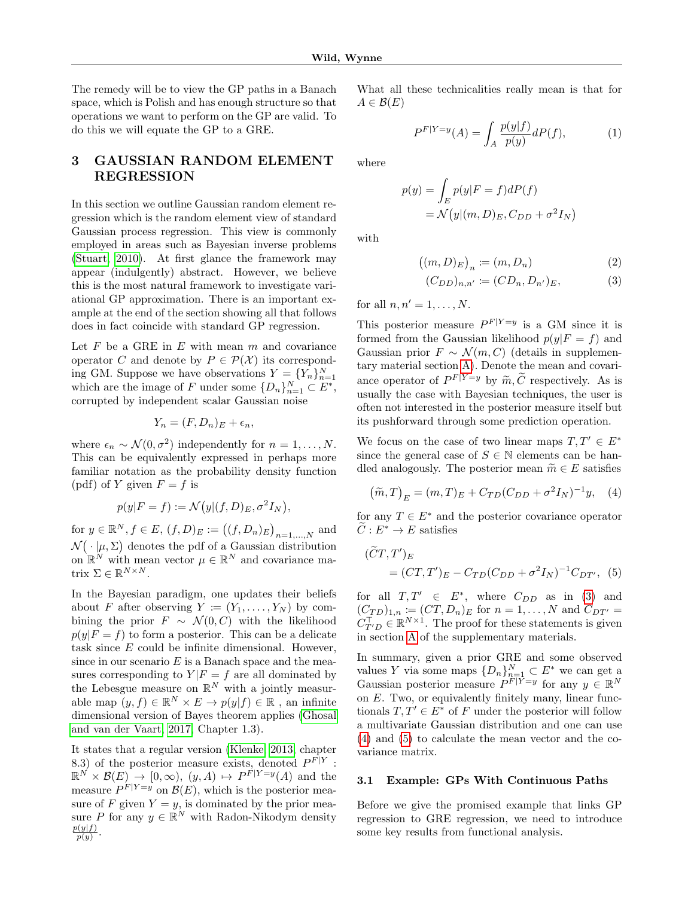The remedy will be to view the GP paths in a Banach space, which is Polish and has enough structure so that operations we want to perform on the GP are valid. To do this we will equate the GP to a GRE.

# <span id="page-2-4"></span>3 GAUSSIAN RANDOM ELEMENT REGRESSION

In this section we outline Gaussian random element regression which is the random element view of standard Gaussian process regression. This view is commonly employed in areas such as Bayesian inverse problems [\(Stuart, 2010\)](#page-9-16). At first glance the framework may appear (indulgently) abstract. However, we believe this is the most natural framework to investigate variational GP approximation. There is an important example at the end of the section showing all that follows does in fact coincide with standard GP regression.

Let  $F$  be a GRE in  $E$  with mean  $m$  and covariance operator C and denote by  $P \in \mathcal{P}(\mathcal{X})$  its corresponding GM. Suppose we have observations  $Y = \{Y_n\}_{n=1}^N$ which are the image of F under some  $\{D_n\}_{n=1}^N \subset E^*$ , corrupted by independent scalar Gaussian noise

$$
Y_n = (F, D_n)_E + \epsilon_n,
$$

where  $\epsilon_n \sim \mathcal{N}(0, \sigma^2)$  independently for  $n = 1, \ldots, N$ . This can be equivalently expressed in perhaps more familiar notation as the probability density function (pdf) of Y given  $F = f$  is

$$
p(y|F = f) := \mathcal{N}(y|(f, D)_E, \sigma^2 I_N),
$$

for  $y \in \mathbb{R}^N, f \in E, (f, D)_E := ((f, D_n)_E)_{n=1,...,N}$  and  $\mathcal{N}(\cdot | \mu, \Sigma)$  denotes the pdf of a Gaussian distribution on  $\mathbb{R}^N$  with mean vector  $\mu \in \mathbb{R}^N$  and covariance matrix  $\Sigma \in \mathbb{R}^{N \times N}$ .

In the Bayesian paradigm, one updates their beliefs about F after observing  $Y := (Y_1, \ldots, Y_N)$  by combining the prior  $F \sim \mathcal{N}(0, C)$  with the likelihood  $p(y|F = f)$  to form a posterior. This can be a delicate task since  $E$  could be infinite dimensional. However, since in our scenario  $E$  is a Banach space and the measures corresponding to  $Y|F = f$  are all dominated by the Lebesgue measure on  $\mathbb{R}^N$  with a jointly measurable map  $(y, f) \in \mathbb{R}^N \times E \to p(y|f) \in \mathbb{R}$ , an infinite dimensional version of Bayes theorem applies [\(Ghosal](#page-8-10) [and van der Vaart, 2017,](#page-8-10) Chapter 1.3).

It states that a regular version [\(Klenke, 2013,](#page-9-17) chapter 8.3) of the posterior measure exists, denoted  $P^{F|Y}$ :  $\mathbb{R}^N \times \mathcal{B}(E) \to [0,\infty), (y,A) \mapsto P^{F|Y=y}(A)$  and the measure  $P^{F|Y=y}$  on  $\mathcal{B}(E)$ , which is the posterior measure of F given  $Y = y$ , is dominated by the prior measure P for any  $y \in \mathbb{R}^N$  with Radon-Nikodym density  $p(y|f)$  $p(y)$ .

What all these technicalities really mean is that for  $A \in \mathcal{B}(E)$ 

$$
P^{F|Y=y}(A) = \int_A \frac{p(y|f)}{p(y)} dP(f), \tag{1}
$$

where

$$
p(y) = \int_{E} p(y|F = f)dP(f)
$$
  
=  $\mathcal{N}(y|(m, D)_{E}, C_{DD} + \sigma^{2}I_{N})$ 

with

$$
((m,D)_E)_n := (m,D_n)
$$
 (2)

<span id="page-2-0"></span>
$$
(C_{DD})_{n,n'} \coloneqq (CD_n, D_{n'})_E,\tag{3}
$$

for all  $n, n' = 1, \ldots, N$ .

This posterior measure  $P^{F|Y=y}$  is a GM since it is formed from the Gaussian likelihood  $p(y|F = f)$  and Gaussian prior  $F \sim \mathcal{N}(m, C)$  (details in supplementary material section [A\)](#page-11-0). Denote the mean and covariance operator of  $P^{F|Y=y}$  by  $\widetilde{m}, \widetilde{C}$  respectively. As is usually the case with Bayesian techniques, the user is often not interested in the posterior measure itself but its pushforward through some prediction operation.

We focus on the case of two linear maps  $T, T' \in E^*$ since the general case of  $S \in \mathbb{N}$  elements can be handled analogously. The posterior mean  $\widetilde{m} \in E$  satisfies

<span id="page-2-1"></span>
$$
(\tilde{m},T)_E = (m,T)_E + C_{TD}(C_{DD} + \sigma^2 I_N)^{-1} y, \quad (4)
$$

for any  $T \in E^*$  and the posterior covariance operator  $\tilde{C}: E^* \to E$  satisfies

<span id="page-2-2"></span>
$$
(\widetilde{C}T, T')_E = (CT, T')_E - C_{TD}(C_{DD} + \sigma^2 I_N)^{-1} C_{DT'},
$$
 (5)

for all  $T, T' \in E^*$ , where  $C_{DD}$  as in [\(3\)](#page-2-0) and  $(C_{TD})_{1,n} := (CT, D_n)_E$  for  $n = 1, ..., N$  and  $C_{DT'} =$  $C_{T'D}^{\top} \in \mathbb{R}^{N \times 1}$ . The proof for these statements is given in section [A](#page-11-0) of the supplementary materials.

In summary, given a prior GRE and some observed values Y via some maps  ${D_n}_{n=1}^N \subset E^*$  we can get a Gaussian posterior measure  $P^F|_{Y=y}$  for any  $y \in \mathbb{R}^N$ on E. Two, or equivalently finitely many, linear functionals  $T, T' \in E^*$  of F under the posterior will follow a multivariate Gaussian distribution and one can use [\(4\)](#page-2-1) and [\(5\)](#page-2-2) to calculate the mean vector and the covariance matrix.

#### <span id="page-2-3"></span>3.1 Example: GPs With Continuous Paths

Before we give the promised example that links GP regression to GRE regression, we need to introduce some key results from functional analysis.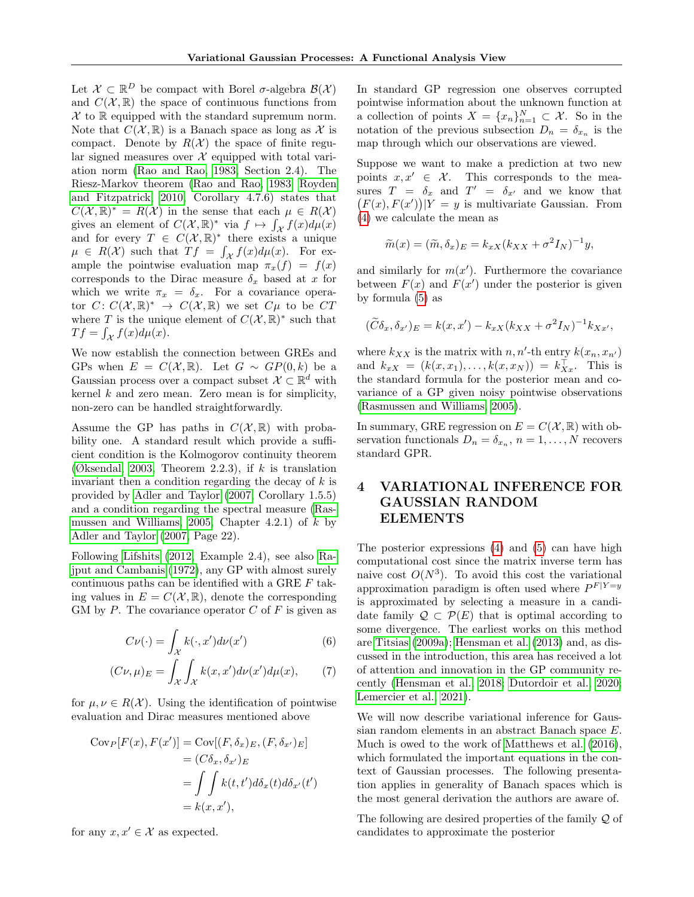Let  $\mathcal{X} \subset \mathbb{R}^D$  be compact with Borel  $\sigma$ -algebra  $\mathcal{B}(\mathcal{X})$ and  $C(\mathcal{X}, \mathbb{R})$  the space of continuous functions from  $\mathcal X$  to  $\mathbb R$  equipped with the standard supremum norm. Note that  $C(\mathcal{X}, \mathbb{R})$  is a Banach space as long as X is compact. Denote by  $R(X)$  the space of finite regular signed measures over  $\mathcal X$  equipped with total variation norm [\(Rao and Rao, 1983,](#page-9-18) Section 2.4). The Riesz-Markov theorem [\(Rao and Rao, 1983;](#page-9-18) [Royden](#page-9-19) [and Fitzpatrick, 2010,](#page-9-19) Corollary 4.7.6) states that  $C(\mathcal{X}, \mathbb{R})^* = R(\mathcal{X})$  in the sense that each  $\mu \in R(\mathcal{X})$ gives an element of  $C(\mathcal{X}, \mathbb{R})^*$  via  $f \mapsto \int_{\mathcal{X}} f(x) d\mu(x)$ and for every  $T \in C(X, \mathbb{R})^*$  there exists a unique  $\mu \in R(\mathcal{X})$  such that  $Tf = \int_{\mathcal{X}} f(x) d\mu(x)$ . For example the pointwise evaluation map  $\pi_x(f) = f(x)$ corresponds to the Dirac measure  $\delta_x$  based at x for which we write  $\pi_x = \delta_x$ . For a covariance operator  $C: C(X,\mathbb{R})^* \to C(X,\mathbb{R})$  we set  $C\mu$  to be  $CT$ where T is the unique element of  $C(\mathcal{X}, \mathbb{R})^*$  such that  $Tf = \int_{\mathcal{X}} f(x) d\mu(x).$ 

We now establish the connection between GREs and GPs when  $E = C(X, \mathbb{R})$ . Let  $G \sim GP(0, k)$  be a Gaussian process over a compact subset  $\mathcal{X} \subset \mathbb{R}^d$  with kernel  $k$  and zero mean. Zero mean is for simplicity, non-zero can be handled straightforwardly.

Assume the GP has paths in  $C(\mathcal{X}, \mathbb{R})$  with probability one. A standard result which provide a sufficient condition is the Kolmogorov continuity theorem [\(Øksendal, 2003,](#page-9-20) Theorem 2.2.3), if  $k$  is translation invariant then a condition regarding the decay of  $k$  is provided by [Adler and Taylor \(2007,](#page-8-11) Corollary 1.5.5) and a condition regarding the spectral measure [\(Ras](#page-9-0)[mussen and Williams, 2005,](#page-9-0) Chapter 4.2.1) of  $k$  by [Adler and Taylor \(2007,](#page-8-11) Page 22).

Following [Lifshits \(2012,](#page-9-11) Example 2.4), see also [Ra](#page-9-12)[jput and Cambanis \(1972\)](#page-9-12), any GP with almost surely continuous paths can be identified with a GRE F taking values in  $E = C(X, \mathbb{R})$ , denote the corresponding GM by P. The covariance operator  $C$  of  $F$  is given as

$$
C\nu(\cdot) = \int_{\mathcal{X}} k(\cdot, x')d\nu(x')\tag{6}
$$

$$
(C\nu,\mu)_E = \int_{\mathcal{X}} \int_{\mathcal{X}} k(x,x')d\nu(x')d\mu(x), \qquad (7)
$$

for  $\mu, \nu \in R(\mathcal{X})$ . Using the identification of pointwise evaluation and Dirac measures mentioned above

$$
Cov_P[F(x), F(x')] = Cov[(F, \delta_x)_{E}, (F, \delta_{x'})_{E}]
$$
  
=  $(C\delta_x, \delta_{x'})_{E}$   
=  $\int \int k(t, t') d\delta_x(t) d\delta_{x'}(t')$   
=  $k(x, x')$ ,

for any  $x, x' \in \mathcal{X}$  as expected.

In standard GP regression one observes corrupted pointwise information about the unknown function at a collection of points  $X = \{x_n\}_{n=1}^N \subset \mathcal{X}$ . So in the notation of the previous subsection  $D_n = \delta_{x_n}$  is the map through which our observations are viewed.

Suppose we want to make a prediction at two new points  $x, x' \in \mathcal{X}$ . This corresponds to the measures  $T = \delta_x$  and  $T' = \delta_{x'}$  and we know that  $(F(x), F(x'))|Y = y$  is multivariate Gaussian. From [\(4\)](#page-2-1) we calculate the mean as

$$
\widetilde{m}(x) = (\widetilde{m}, \delta_x)_E = k_{xX}(k_{XX} + \sigma^2 I_N)^{-1} y,
$$

and similarly for  $m(x')$ . Furthermore the covariance between  $F(x)$  and  $F(x')$  under the posterior is given by formula [\(5\)](#page-2-2) as

$$
(\widetilde{C}\delta_x,\delta_{x'})_E = k(x,x') - k_{xX}(k_{XX} + \sigma^2 I_N)^{-1}k_{Xx'},
$$

where  $k_{XX}$  is the matrix with  $n, n'$ -th entry  $k(x_n, x_{n'})$ and  $k_{xX} = (k(x, x_1), \dots, k(x, x_N)) = k_{X_x}^{\top}$ . This is the standard formula for the posterior mean and covariance of a GP given noisy pointwise observations [\(Rasmussen and Williams, 2005\)](#page-9-0).

In summary, GRE regression on  $E = C(\mathcal{X}, \mathbb{R})$  with observation functionals  $D_n = \delta_{x_n}, n = 1, \ldots, N$  recovers standard GPR.

# <span id="page-3-1"></span>4 VARIATIONAL INFERENCE FOR GAUSSIAN RANDOM ELEMENTS

<span id="page-3-2"></span>The posterior expressions [\(4\)](#page-2-1) and [\(5\)](#page-2-2) can have high computational cost since the matrix inverse term has naive cost  $O(N^3)$ . To avoid this cost the variational approximation paradigm is often used where  $P^{F|Y=y}$ is approximated by selecting a measure in a candidate family  $\mathcal{Q} \subset \mathcal{P}(E)$  that is optimal according to some divergence. The earliest works on this method are [Titsias \(2009a\)](#page-9-4); [Hensman et al. \(2013\)](#page-8-12) and, as discussed in the introduction, this area has received a lot of attention and innovation in the GP community recently [\(Hensman et al., 2018;](#page-8-2) [Dutordoir et al., 2020;](#page-8-3) [Lemercier et al., 2021\)](#page-9-9).

<span id="page-3-0"></span>We will now describe variational inference for Gaussian random elements in an abstract Banach space E. Much is owed to the work of [Matthews et al. \(2016\)](#page-9-6), which formulated the important equations in the context of Gaussian processes. The following presentation applies in generality of Banach spaces which is the most general derivation the authors are aware of.

The following are desired properties of the family Q of candidates to approximate the posterior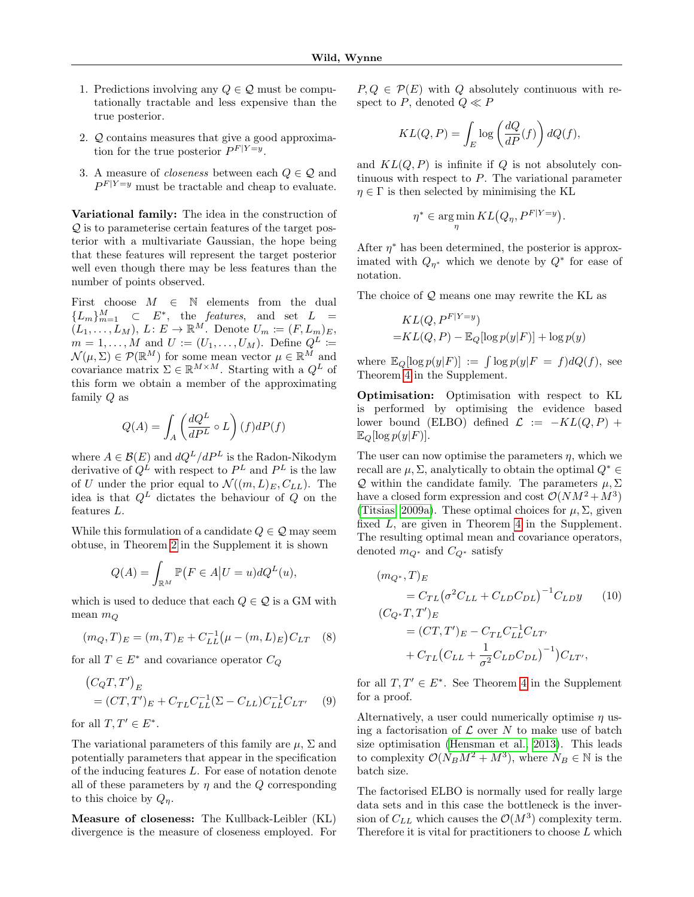- 1. Predictions involving any  $Q \in \mathcal{Q}$  must be computationally tractable and less expensive than the true posterior.
- 2. Q contains measures that give a good approximation for the true posterior  $P^{F|Y=y}$ .
- 3. A measure of *closeness* between each  $Q \in \mathcal{Q}$  and  $P^{F|Y=y}$  must be tractable and cheap to evaluate.

Variational family: The idea in the construction of Q is to parameterise certain features of the target posterior with a multivariate Gaussian, the hope being that these features will represent the target posterior well even though there may be less features than the number of points observed.

First choose  $M \in \mathbb{N}$  elements from the dual  ${L_m}_{m=1}^M$   $\subset$   $E^*$ , the *features*, and set  $L =$  $(L_1, \ldots, L_M), L: E \to \mathbb{R}^M$ . Denote  $U_m := (F, L_m)_E$ ,  $m = 1, \ldots, M$  and  $U := (U_1, \ldots, U_M)$ . Define  $Q^L$  :=  $\mathcal{N}(\mu, \Sigma) \in \mathcal{P}(\mathbb{R}^M)$  for some mean vector  $\mu \in \mathbb{R}^M$  and covariance matrix  $\Sigma \in \mathbb{R}^{M \times M}$ . Starting with a  $Q^L$  of this form we obtain a member of the approximating family Q as

$$
Q(A) = \int_A \left(\frac{dQ^L}{dP^L} \circ L\right) (f) dP(f)
$$

where  $A \in \mathcal{B}(E)$  and  $dQ^L/dP^L$  is the Radon-Nikodym derivative of  $Q^L$  with respect to  $P^L$  and  $P^L$  is the law of U under the prior equal to  $\mathcal{N}((m,L)_E, C_{LL})$ . The idea is that  $Q^L$  dictates the behaviour of  $Q$  on the features L.

While this formulation of a candidate  $Q \in \mathcal{Q}$  may seem obtuse, in Theorem [2](#page-0-0) in the Supplement it is shown

$$
Q(A) = \int_{\mathbb{R}^M} \mathbb{P}\big(F \in A \big| U = u\big) dQ^L(u),
$$

which is used to deduce that each  $Q \in \mathcal{Q}$  is a GM with mean  $m_Q$ 

$$
(m_Q, T)_E = (m, T)_E + C_{LL}^{-1} (\mu - (m, L)_E) C_{LT} \quad (8)
$$

for all  $T \in E^*$  and covariance operator  $C_Q$ 

$$
(C_QT, T')_E
$$
  
=  $(CT, T')_E + C_{TL}C_{LL}^{-1}(\Sigma - C_{LL})C_{LL}^{-1}C_{LT'}$  (9)

for all  $T, T' \in E^*$ .

The variational parameters of this family are  $\mu$ ,  $\Sigma$  and potentially parameters that appear in the specification of the inducing features L. For ease of notation denote all of these parameters by  $\eta$  and the Q corresponding to this choice by  $Q_n$ .

Measure of closeness: The Kullback-Leibler (KL) divergence is the measure of closeness employed. For  $P, Q \in \mathcal{P}(E)$  with Q absolutely continuous with respect to P, denoted  $Q \ll P$ 

$$
KL(Q, P) = \int_{E} \log \left( \frac{dQ}{dP}(f) \right) dQ(f),
$$

and  $KL(Q, P)$  is infinite if Q is not absolutely continuous with respect to  $P$ . The variational parameter  $\eta \in \Gamma$  is then selected by minimising the KL

$$
\eta^* \in \argmin_{\eta} KL(Q_{\eta}, P^{F|Y=y}).
$$

After  $\eta^*$  has been determined, the posterior is approximated with  $Q_{\eta^*}$  which we denote by  $Q^*$  for ease of notation.

The choice of  $Q$  means one may rewrite the KL as

$$
KL(Q, P^{F|Y=y})
$$
  
=
$$
KL(Q, P) - \mathbb{E}_Q[\log p(y|F)] + \log p(y)
$$

where  $\mathbb{E}_Q[\log p(y|F)] := \int \log p(y|F = f) dQ(f)$ , see Theorem [4](#page-0-0) in the Supplement.

Optimisation: Optimisation with respect to KL is performed by optimising the evidence based lower bound (ELBO) defined  $\mathcal{L} := -KL(Q, P) +$  $\mathbb{E}_Q[\log p(y|F)].$ 

The user can now optimise the parameters  $\eta$ , which we recall are  $\mu$ ,  $\Sigma$ , analytically to obtain the optimal  $Q^* \in$ Q within the candidate family. The parameters  $\mu$ ,  $\Sigma$ have a closed form expression and cost  $\mathcal{O}(NM^2 + M^3)$ [\(Titsias, 2009a\)](#page-9-4). These optimal choices for  $\mu$ ,  $\Sigma$ , given fixed L, are given in Theorem [4](#page-0-0) in the Supplement. The resulting optimal mean and covariance operators, denoted  $m_{Q^*}$  and  $C_{Q^*}$  satisfy

<span id="page-4-2"></span>
$$
(m_{Q^*}, T)_E
$$
  
=  $C_{TL}(\sigma^2 C_{LL} + C_{LD} C_{DL})^{-1} C_{LD} y$  (10)  

$$
(C_{Q^*} T, T')_E
$$
  
=  $(CT, T')_E - C_{TL} C_{LL}^{-1} C_{LT'}$   
+  $C_{TL} (C_{LL} + \frac{1}{\sigma^2} C_{LD} C_{DL})^{-1} ) C_{LT'},$ 

<span id="page-4-1"></span><span id="page-4-0"></span>for all  $T, T' \in E^*$ . See Theorem [4](#page-0-0) in the Supplement for a proof.

Alternatively, a user could numerically optimise  $\eta$  using a factorisation of  $\mathcal L$  over N to make use of batch size optimisation [\(Hensman et al., 2013\)](#page-8-12). This leads to complexity  $\mathcal{O}(N_B M^2 + M^3)$ , where  $N_B \in \mathbb{N}$  is the batch size.

The factorised ELBO is normally used for really large data sets and in this case the bottleneck is the inversion of  $C_{LL}$  which causes the  $\mathcal{O}(M^3)$  complexity term. Therefore it is vital for practitioners to choose  $L$  which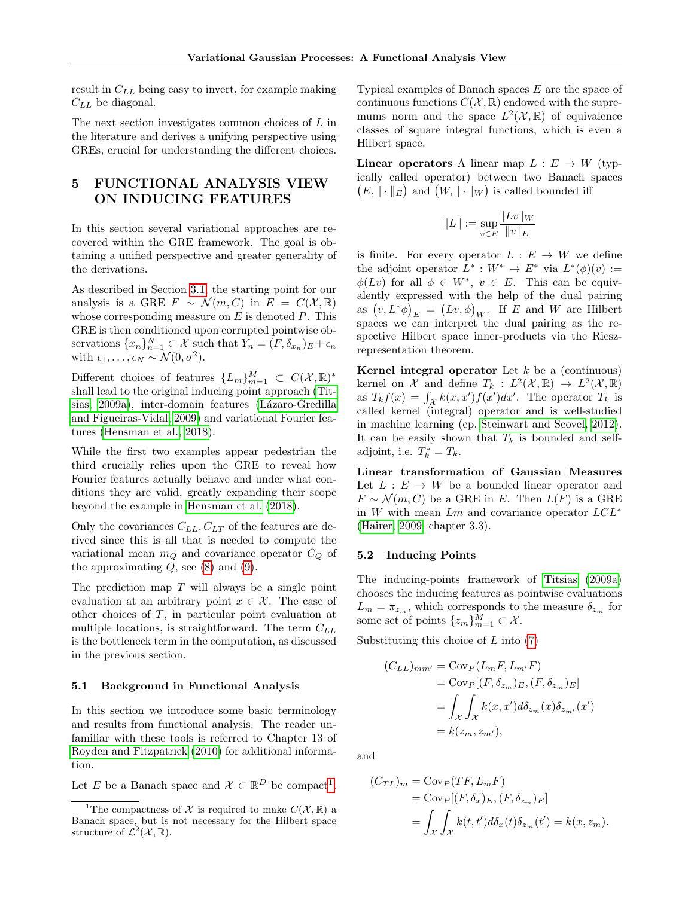result in  $C_{LL}$  being easy to invert, for example making  $C_{LL}$  be diagonal.

The next section investigates common choices of L in the literature and derives a unifying perspective using GREs, crucial for understanding the different choices.

## 5 FUNCTIONAL ANALYSIS VIEW ON INDUCING FEATURES

In this section several variational approaches are recovered within the GRE framework. The goal is obtaining a unified perspective and greater generality of the derivations.

As described in Section [3.1,](#page-2-3) the starting point for our analysis is a GRE  $F \sim \mathcal{N}(m, C)$  in  $E = C(\mathcal{X}, \mathbb{R})$ whose corresponding measure on  $E$  is denoted  $P$ . This GRE is then conditioned upon corrupted pointwise observations  $\{x_n\}_{n=1}^N \subset \mathcal{X}$  such that  $Y_n = (F, \delta_{x_n})_E + \epsilon_n$ with  $\epsilon_1, \ldots, \epsilon_N \sim \mathcal{N}(0, \sigma^2)$ .

Different choices of features  $\{L_m\}_{m=1}^M \subset C(\mathcal{X}, \mathbb{R})^*$ shall lead to the original inducing point approach [\(Tit](#page-9-4)[sias, 2009a\)](#page-9-4), inter-domain features (Lázaro-Gredilla [and Figueiras-Vidal, 2009\)](#page-9-8) and variational Fourier features [\(Hensman et al., 2018\)](#page-8-2).

While the first two examples appear pedestrian the third crucially relies upon the GRE to reveal how Fourier features actually behave and under what conditions they are valid, greatly expanding their scope beyond the example in [Hensman et al. \(2018\)](#page-8-2).

Only the covariances  $C_{LL}, C_{LT}$  of the features are derived since this is all that is needed to compute the variational mean  $m_Q$  and covariance operator  $C_Q$  of the approximating  $Q$ , see [\(8\)](#page-4-0) and [\(9\)](#page-4-1).

The prediction map  $T$  will always be a single point evaluation at an arbitrary point  $x \in \mathcal{X}$ . The case of other choices of  $T$ , in particular point evaluation at multiple locations, is straightforward. The term  $C_{LL}$ is the bottleneck term in the computation, as discussed in the previous section.

#### <span id="page-5-1"></span>5.1 Background in Functional Analysis

In this section we introduce some basic terminology and results from functional analysis. The reader unfamiliar with these tools is referred to Chapter 13 of [Royden and Fitzpatrick \(2010\)](#page-9-19) for additional information.

Let E be a Banach space and  $\mathcal{X} \subset \mathbb{R}^D$  be compact<sup>[1](#page-5-0)</sup>.

Typical examples of Banach spaces E are the space of continuous functions  $C(\mathcal{X}, \mathbb{R})$  endowed with the supremums norm and the space  $L^2(\mathcal{X}, \mathbb{R})$  of equivalence classes of square integral functions, which is even a Hilbert space.

**Linear operators** A linear map  $L : E \to W$  (typically called operator) between two Banach spaces  $(E, \|\cdot\|_E)$  and  $(W, \|\cdot\|_W)$  is called bounded iff

$$
||L|| := \sup_{v \in E} \frac{||Lv||_W}{||v||_E}
$$

is finite. For every operator  $L : E \to W$  we define the adjoint operator  $L^* : W^* \to E^*$  via  $L^*(\phi)(v) :=$  $\phi(Lv)$  for all  $\phi \in W^*$ ,  $v \in E$ . This can be equivalently expressed with the help of the dual pairing as  $(v, L^*\phi)_E = (Lv, \phi)_W$ . If E and W are Hilbert spaces we can interpret the dual pairing as the respective Hilbert space inner-products via the Rieszrepresentation theorem.

**Kernel integral operator** Let  $k$  be a (continuous) kernel on X and define  $T_k : L^2(\mathcal{X}, \mathbb{R}) \to L^2(\mathcal{X}, \mathbb{R})$ as  $T_k f(x) = \int_{\mathcal{X}} k(x, x') f(x') dx'$ . The operator  $T_k$  is called kernel (integral) operator and is well-studied in machine learning (cp. [Steinwart and Scovel, 2012\)](#page-9-21). It can be easily shown that  $T_k$  is bounded and selfadjoint, i.e.  $T_k^* = T_k$ .

Linear transformation of Gaussian Measures Let  $L : E \to W$  be a bounded linear operator and  $F \sim \mathcal{N}(m, C)$  be a GRE in E. Then  $L(F)$  is a GRE in W with mean Lm and covariance operator LCL<sup>∗</sup> [\(Hairer, 2009,](#page-8-9) chapter 3.3).

#### 5.2 Inducing Points

The inducing-points framework of [Titsias \(2009a\)](#page-9-4) chooses the inducing features as pointwise evaluations  $L_m = \pi_{z_m}$ , which corresponds to the measure  $\delta_{z_m}$  for some set of points  $\{z_m\}_{m=1}^M \subset \mathcal{X}$ .

Substituting this choice of  $L$  into  $(7)$ 

$$
(C_{LL})_{mm'} = \text{Cov}_P(L_m F, L_{m'} F)
$$
  
= 
$$
\text{Cov}_P[(F, \delta_{z_m})_E, (F, \delta_{z_m})_E]
$$
  
= 
$$
\int_{\mathcal{X}} \int_{\mathcal{X}} k(x, x') d\delta_{z_m}(x) \delta_{z_{m'}}(x')
$$
  
= 
$$
k(z_m, z_{m'}),
$$

and

$$
(C_{TL})_m = \text{Cov}_P(TF, L_mF)
$$
  
=  $\text{Cov}_P[(F, \delta_x)_E, (F, \delta_{z_m})_E]$   
=  $\int_{\mathcal{X}} \int_{\mathcal{X}} k(t, t') d\delta_x(t) \delta_{z_m}(t') = k(x, z_m).$ 

<span id="page-5-0"></span><sup>&</sup>lt;sup>1</sup>The compactness of X is required to make  $C(\mathcal{X}, \mathbb{R})$  a Banach space, but is not necessary for the Hilbert space structure of  $\mathcal{L}^2(\mathcal{X}, \mathbb{R})$ .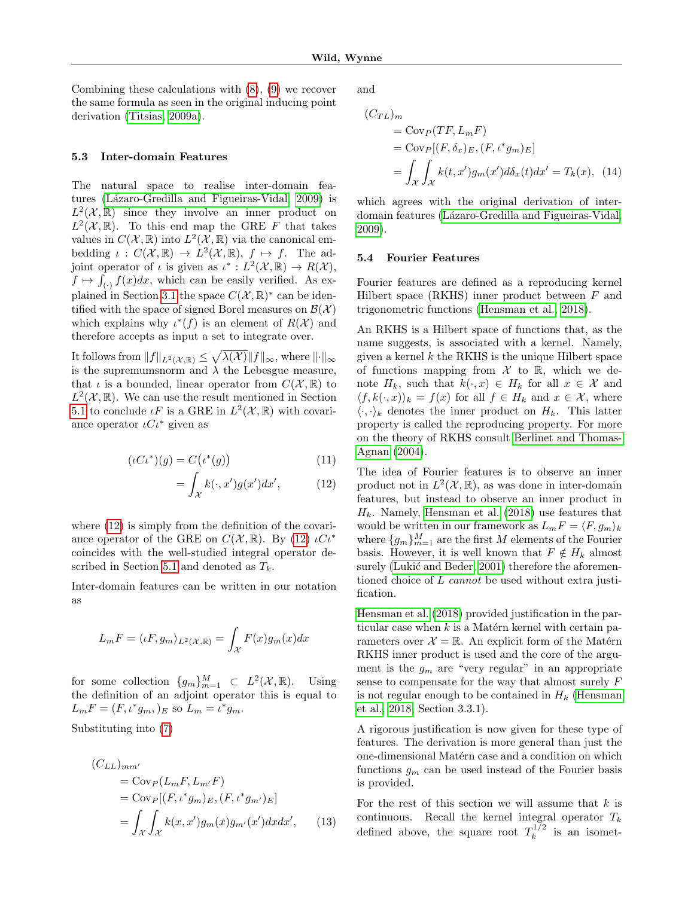Combining these calculations with [\(8\)](#page-4-0), [\(9\)](#page-4-1) we recover the same formula as seen in the original inducing point derivation [\(Titsias, 2009a\)](#page-9-4).

#### 5.3 Inter-domain Features

The natural space to realise inter-domain features (Lázaro-Gredilla and Figueiras-Vidal, 2009) is  $L^2(\mathcal{X}, \mathbb{R})$  since they involve an inner product on  $L^2(\mathcal{X}, \mathbb{R})$ . To this end map the GRE F that takes values in  $C(\mathcal{X}, \mathbb{R})$  into  $L^2(\mathcal{X}, \mathbb{R})$  via the canonical embedding  $\iota: C(\mathcal{X}, \mathbb{R}) \to L^2(\mathcal{X}, \mathbb{R}), f \mapsto f$ . The adjoint operator of  $\iota$  is given as  $\iota^* : L^2(\mathcal{X}, \mathbb{R}) \to R(\mathcal{X}),$  $f \mapsto \int_{(\cdot)} f(x)dx$ , which can be easily verified. As ex-plained in Section [3.1](#page-2-3) the space  $C(\mathcal{X}, \mathbb{R})^*$  can be identified with the space of signed Borel measures on  $\mathcal{B}(\mathcal{X})$ which explains why  $\iota^*(f)$  is an element of  $R(\mathcal{X})$  and therefore accepts as input a set to integrate over.

It follows from  $||f||_{L^2(\mathcal{X},\mathbb{R})} \leq \sqrt{\lambda(\mathcal{X})} ||f||_{\infty}$ , where  $||\cdot||_{\infty}$ is the supremums norm and  $\lambda$  the Lebesgue measure, that  $\iota$  is a bounded, linear operator from  $C(\mathcal{X}, \mathbb{R})$  to  $L^2(\mathcal{X}, \mathbb{R})$ . We can use the result mentioned in Section [5.1](#page-5-1) to conclude  $\iota F$  is a GRE in  $L^2(\mathcal{X}, \mathbb{R})$  with covariance operator  $\iota C\iota^*$  given as

$$
(\iota C\iota^*)(g) = C(\iota^*(g))\tag{11}
$$

$$
= \int_{\mathcal{X}} k(\cdot, x') g(x') dx', \tag{12}
$$

where  $(12)$  is simply from the definition of the covariance operator of the GRE on  $C(\mathcal{X}, \mathbb{R})$ . By [\(12\)](#page-6-0)  $\iota C \iota^*$ coincides with the well-studied integral operator de-scribed in Section [5.1](#page-5-1) and denoted as  $T_k$ .

Inter-domain features can be written in our notation as

$$
L_m F = \langle \iota F, g_m \rangle_{L^2(\mathcal{X}, \mathbb{R})} = \int_{\mathcal{X}} F(x) g_m(x) dx
$$

for some collection  $\{g_m\}_{m=1}^M \subset L^2(\mathcal{X}, \mathbb{R})$ . Using the definition of an adjoint operator this is equal to  $L_m F = (F, \iota^* g_m, )_E$  so  $L_m = \iota^* g_m$ .

Substituting into [\(7\)](#page-3-0)

$$
(C_{LL})_{mm'} = \text{Cov}_P(L_m F, L_{m'} F)
$$
  
= 
$$
\text{Cov}_P[(F, \iota^* g_m)_E, (F, \iota^* g_{m'})_E]
$$
  
= 
$$
\int_{\mathcal{X}} \int_{\mathcal{X}} k(x, x') g_m(x) g_{m'}(x') dx dx',
$$
 (13)

and

<span id="page-6-2"></span>
$$
(C_{TL})_m
$$
  
= Cov<sub>P</sub>(TF, L<sub>m</sub>F)  
= Cov<sub>P</sub>[(F,  $\delta_x$ )<sub>E</sub>, (F,  $\iota^* g_m$ )<sub>E</sub>]  
= 
$$
\int_{\mathcal{X}} \int_{\mathcal{X}} k(t, x') g_m(x') d\delta_x(t) dx' = T_k(x),
$$
 (14)

which agrees with the original derivation of interdomain features (Lázaro-Gredilla and Figueiras-Vidal, [2009\)](#page-9-8).

#### 5.4 Fourier Features

Fourier features are defined as a reproducing kernel Hilbert space (RKHS) inner product between F and trigonometric functions [\(Hensman et al., 2018\)](#page-8-2).

An RKHS is a Hilbert space of functions that, as the name suggests, is associated with a kernel. Namely, given a kernel  $k$  the RKHS is the unique Hilbert space of functions mapping from  $\mathcal X$  to  $\mathbb R$ , which we denote  $H_k$ , such that  $k(\cdot, x) \in H_k$  for all  $x \in \mathcal{X}$  and  $\langle f, k(\cdot, x) \rangle_k = f(x)$  for all  $f \in H_k$  and  $x \in \mathcal{X}$ , where  $\langle \cdot, \cdot \rangle_k$  denotes the inner product on  $H_k$ . This latter property is called the reproducing property. For more on the theory of RKHS consult [Berlinet and Thomas-](#page-8-13)[Agnan \(2004\)](#page-8-13).

<span id="page-6-0"></span>The idea of Fourier features is to observe an inner product not in  $L^2(\mathcal{X}, \mathbb{R})$ , as was done in inter-domain features, but instead to observe an inner product in  $H_k$ . Namely, [Hensman et al. \(2018\)](#page-8-2) use features that would be written in our framework as  $L_mF = \langle F, g_m \rangle_k$ where  $\{g_m\}_{m=1}^M$  are the first  $M$  elements of the Fourier basis. However, it is well known that  $F \notin H_k$  almost surely (Lukić and Beder, 2001) therefore the aforementioned choice of L cannot be used without extra justification.

[Hensman et al. \(2018\)](#page-8-2) provided justification in the particular case when  $k$  is a Matérn kernel with certain parameters over  $\mathcal{X} = \mathbb{R}$ . An explicit form of the Matérn RKHS inner product is used and the core of the argument is the  $g_m$  are "very regular" in an appropriate sense to compensate for the way that almost surely F is not regular enough to be contained in  $H_k$  [\(Hensman](#page-8-2) [et al., 2018,](#page-8-2) Section 3.3.1).

A rigorous justification is now given for these type of features. The derivation is more general than just the one-dimensional Matérn case and a condition on which functions  $g_m$  can be used instead of the Fourier basis is provided.

<span id="page-6-1"></span>For the rest of this section we will assume that  $k$  is continuous. Recall the kernel integral operator  $T_k$ defined above, the square root  $T_k^{1/2}$  $\frac{x^{1/2}}{k}$  is an isomet-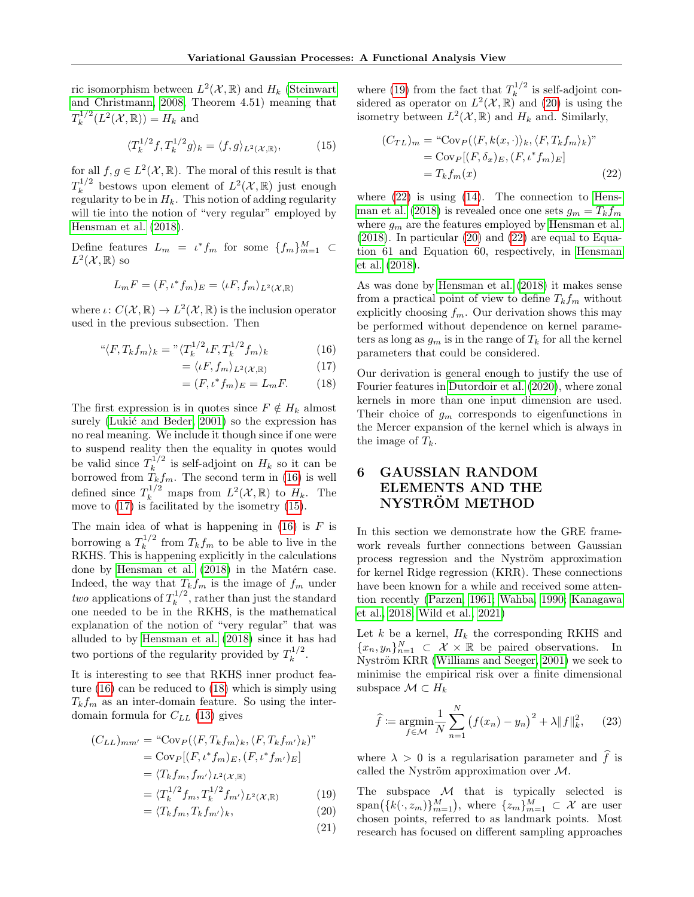ric isomorphism between  $L^2(\mathcal{X}, \mathbb{R})$  and  $H_k$  [\(Steinwart](#page-9-22) [and Christmann, 2008,](#page-9-22) Theorem 4.51) meaning that  $T_k^{1/2}$  $k^{1/2}(L^2(\mathcal{X}, \mathbb{R})) = H_k$  and

$$
\langle T_k^{1/2} f, T_k^{1/2} g \rangle_k = \langle f, g \rangle_{L^2(\mathcal{X}, \mathbb{R})},\tag{15}
$$

for all  $f, g \in L^2(\mathcal{X}, \mathbb{R})$ . The moral of this result is that  $T_k^{1/2}$  $\int_k^{1/2}$  bestows upon element of  $L^2(\mathcal{X}, \mathbb{R})$  just enough regularity to be in  $H_k$ . This notion of adding regularity will tie into the notion of "very regular" employed by [Hensman et al. \(2018\)](#page-8-2).

Define features  $L_m = \iota^* f_m$  for some  $\{f_m\}_{m=1}^M$   $\subset$  $L^2(\mathcal{X}, \mathbb{R})$  so

$$
L_m F = (F, \iota^* f_m)_E = \langle \iota F, f_m \rangle_{L^2(\mathcal{X}, \mathbb{R})}
$$

where  $\iota: C(\mathcal{X}, \mathbb{R}) \to L^2(\mathcal{X}, \mathbb{R})$  is the inclusion operator used in the previous subsection. Then

$$
\mathbf{``}\langle F, T_k f_m \rangle_k = \mathbf{''}\langle T_k^{1/2} \iota F, T_k^{1/2} f_m \rangle_k \tag{16}
$$

$$
= \langle \iota F, f_m \rangle_{L^2(\mathcal{X}, \mathbb{R})} \tag{17}
$$

$$
= (F, \iota^* f_m)_E = L_m F. \tag{18}
$$

The first expression is in quotes since  $F \notin H_k$  almost surely (Lukić and Beder,  $2001$ ) so the expression has no real meaning. We include it though since if one were to suspend reality then the equality in quotes would be valid since  $T_k^{1/2}$  $\frac{1}{k}$  is self-adjoint on  $H_k$  so it can be borrowed from  $T_k f_m$ . The second term in [\(16\)](#page-7-0) is well defined since  $T_k^{1/2}$  maps from  $L^2(\mathcal{X}, \mathbb{R})$  to  $H_k$ . The move to [\(17\)](#page-7-1) is facilitated by the isometry [\(15\)](#page-7-2).

The main idea of what is happening in  $(16)$  is F is borrowing a  $T_k^{1/2}$  $\int_k^{1/2}$  from  $T_k f_m$  to be able to live in the RKHS. This is happening explicitly in the calculations done by Hensman et al.  $(2018)$  in the Matérn case. Indeed, the way that  $T_k f_m$  is the image of  $f_m$  under two applications of  $T_k^{1/2}$  $\int_k^{1/2}$ , rather than just the standard one needed to be in the RKHS, is the mathematical explanation of the notion of "very regular" that was alluded to by [Hensman et al. \(2018\)](#page-8-2) since it has had two portions of the regularity provided by  $T_k^{1/2}$  $k^{1/2}$ .

It is interesting to see that RKHS inner product feature [\(16\)](#page-7-0) can be reduced to [\(18\)](#page-7-3) which is simply using  $T_k f_m$  as an inter-domain feature. So using the interdomain formula for  $C_{LL}$  [\(13\)](#page-6-1) gives

$$
(C_{LL})_{mm'} = \text{``Cov}_{P}(\langle F, T_{k}f_{m}\rangle_{k}, \langle F, T_{k}f_{m'}\rangle_{k})\text{''}
$$
\n
$$
= \text{Cov}_{P}[(F, \iota^{*}f_{m})_{E}, (F, \iota^{*}f_{m'})_{E}]
$$
\n
$$
= \langle T_{k}f_{m}, f_{m'}\rangle_{L^{2}(\mathcal{X}, \mathbb{R})}
$$
\n
$$
= \langle T_{k}^{1/2}f_{m}, T_{k}^{1/2}f_{m'}\rangle_{L^{2}(\mathcal{X}, \mathbb{R})}
$$
\n
$$
= \langle T_{k}f_{m}, T_{k}f_{m'}\rangle_{k}, \qquad (20)
$$

(21)

where [\(19\)](#page-7-4) from the fact that  $T_k^{1/2}$  $\int_{k}^{1/2}$  is self-adjoint considered as operator on  $L^2(\mathcal{X}, \mathbb{R})$  and [\(20\)](#page-7-5) is using the isometry between  $L^2(\mathcal{X}, \mathbb{R})$  and  $H_k$  and. Similarly,

<span id="page-7-6"></span><span id="page-7-2"></span>
$$
(C_{TL})_m = \text{``Cov}_P(\langle F, k(x, \cdot) \rangle_k, \langle F, T_k f_m \rangle_k)\text{''}
$$

$$
= \text{Cov}_P[(F, \delta_x)_E, (F, \iota^* f_m)_E]
$$

$$
= T_k f_m(x) \tag{22}
$$

where  $(22)$  is using  $(14)$ . The connection to [Hens](#page-8-2)[man et al. \(2018\)](#page-8-2) is revealed once one sets  $g_m = T_k f_m$ where  $g_m$  are the features employed by [Hensman et al.](#page-8-2)  $(2018)$ . In particular  $(20)$  and  $(22)$  are equal to Equation 61 and Equation 60, respectively, in [Hensman](#page-8-2) [et al. \(2018\)](#page-8-2).

As was done by [Hensman et al. \(2018\)](#page-8-2) it makes sense from a practical point of view to define  $T_k f_m$  without explicitly choosing  $f_m$ . Our derivation shows this may be performed without dependence on kernel parameters as long as  $g_m$  is in the range of  $T_k$  for all the kernel parameters that could be considered.

<span id="page-7-3"></span><span id="page-7-1"></span><span id="page-7-0"></span>Our derivation is general enough to justify the use of Fourier features in [Dutordoir et al. \(2020\)](#page-8-3), where zonal kernels in more than one input dimension are used. Their choice of  $g_m$  corresponds to eigenfunctions in the Mercer expansion of the kernel which is always in the image of  $T_k$ .

# <span id="page-7-7"></span>6 GAUSSIAN RANDOM ELEMENTS AND THE NYSTRÖM METHOD

In this section we demonstrate how the GRE framework reveals further connections between Gaussian process regression and the Nyström approximation for kernel Ridge regression (KRR). These connections have been known for a while and received some attention recently [\(Parzen, 1961;](#page-9-23) [Wahba, 1990;](#page-9-24) [Kanagawa](#page-9-25) [et al., 2018;](#page-9-25) [Wild et al., 2021\)](#page-9-26)

Let  $k$  be a kernel,  $H_k$  the corresponding RKHS and  ${x_n, y_n}_{n=1}^N \subset \mathcal{X} \times \mathbb{R}$  be paired observations. In Nyström KRR [\(Williams and Seeger, 2001\)](#page-10-0) we seek to minimise the empirical risk over a finite dimensional subspace  $\mathcal{M} \subset H_k$ 

$$
\hat{f} := \underset{f \in \mathcal{M}}{\text{argmin}} \frac{1}{N} \sum_{n=1}^{N} (f(x_n) - y_n)^2 + \lambda \|f\|_{k}^2, \qquad (23)
$$

where  $\lambda > 0$  is a regularisation parameter and  $\hat{f}$  is called the Nyström approximation over  $\mathcal{M}$ .

<span id="page-7-5"></span><span id="page-7-4"></span>The subspace  $M$  that is typically selected is  $\text{span}(\{k(\cdot,z_m)\}_{m=1}^M)$ , where  $\{z_m\}_{m=1}^M \subset \mathcal{X}$  are user chosen points, referred to as landmark points. Most research has focused on different sampling approaches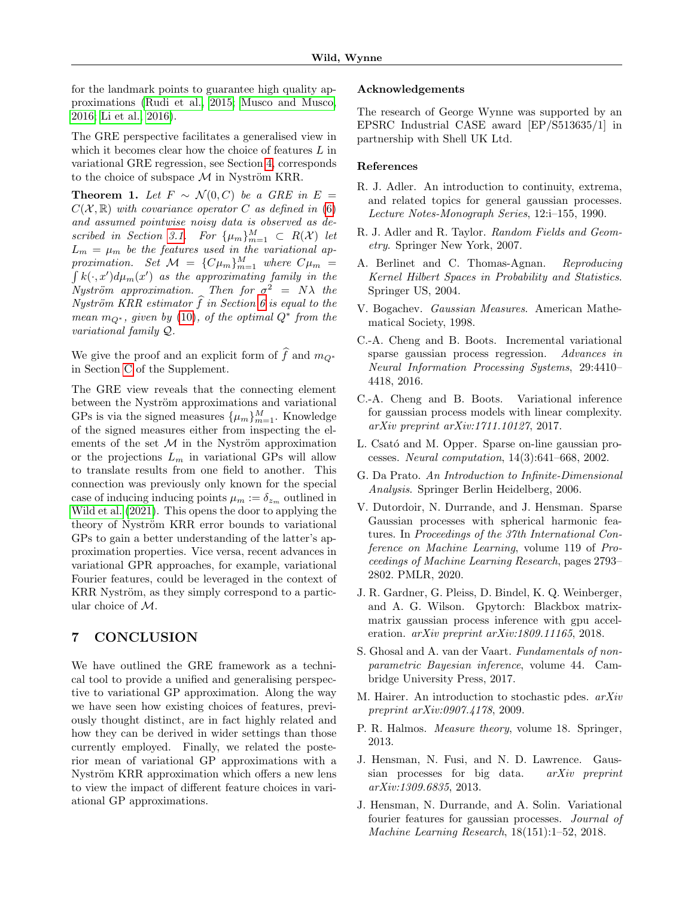for the landmark points to guarantee high quality approximations [\(Rudi et al., 2015;](#page-9-27) [Musco and Musco,](#page-9-28) [2016;](#page-9-28) [Li et al., 2016\)](#page-9-29).

The GRE perspective facilitates a generalised view in which it becomes clear how the choice of features  $L$  in variational GRE regression, see Section [4,](#page-3-1) corresponds to the choice of subspace  $\mathcal M$  in Nyström KRR.

Theorem 1. Let  $F \sim \mathcal{N}(0, C)$  be a GRE in  $E =$  $C(X, \mathbb{R})$  with covariance operator C as defined in [\(6\)](#page-3-2) and assumed pointwise noisy data is observed as de-scribed in Section [3.1.](#page-2-3) For  $\{\mu_m\}_{m=1}^M \subset R(\mathcal{X})$  let  $L_m = \mu_m$  be the features used in the variational approximation. Set  $\mathcal{M} = \{C\mu_m\}_{m=1}^M$  where  $C\mu_m = \int k(\cdot, x') d\mu_m(x')$  as the approximating family in the  $k(\cdot, x')d\mu_m(x')$  as the approximating family in the Nyström approximation. Then for  $\sigma^2 = N\lambda$  the Nyström KRR estimator f in Section [6](#page-7-7) is equal to the mean  $m_{Q^*}$ , given by [\(10\)](#page-4-2), of the optimal  $Q^*$  from the variational family Q.

We give the proof and an explicit form of  $\hat{f}$  and  $m_{Q^*}$ in Section [C](#page-15-0) of the Supplement.

The GRE view reveals that the connecting element between the Nyström approximations and variational GPs is via the signed measures  $\{\mu_m\}_{m=1}^M$ . Knowledge of the signed measures either from inspecting the elements of the set  $M$  in the Nyström approximation or the projections  $L_m$  in variational GPs will allow to translate results from one field to another. This connection was previously only known for the special case of inducing inducing points  $\mu_m := \delta_{z_m}$  outlined in [Wild et al. \(2021\)](#page-9-26). This opens the door to applying the theory of Nyström KRR error bounds to variational GPs to gain a better understanding of the latter's approximation properties. Vice versa, recent advances in variational GPR approaches, for example, variational Fourier features, could be leveraged in the context of KRR Nyström, as they simply correspond to a particular choice of  $\mathcal{M}$ .

### 7 CONCLUSION

We have outlined the GRE framework as a technical tool to provide a unified and generalising perspective to variational GP approximation. Along the way we have seen how existing choices of features, previously thought distinct, are in fact highly related and how they can be derived in wider settings than those currently employed. Finally, we related the posterior mean of variational GP approximations with a Nyström KRR approximation which offers a new lens to view the impact of different feature choices in variational GP approximations.

#### Acknowledgements

The research of George Wynne was supported by an EPSRC Industrial CASE award [EP/S513635/1] in partnership with Shell UK Ltd.

#### References

- <span id="page-8-6"></span>R. J. Adler. An introduction to continuity, extrema, and related topics for general gaussian processes. Lecture Notes-Monograph Series, 12:i–155, 1990.
- <span id="page-8-11"></span>R. J. Adler and R. Taylor. Random Fields and Geometry. Springer New York, 2007.
- <span id="page-8-13"></span>A. Berlinet and C. Thomas-Agnan. Reproducing Kernel Hilbert Spaces in Probability and Statistics. Springer US, 2004.
- <span id="page-8-7"></span>V. Bogachev. Gaussian Measures. American Mathematical Society, 1998.
- <span id="page-8-4"></span>C.-A. Cheng and B. Boots. Incremental variational sparse gaussian process regression. Advances in Neural Information Processing Systems, 29:4410– 4418, 2016.
- <span id="page-8-5"></span>C.-A. Cheng and B. Boots. Variational inference for gaussian process models with linear complexity. arXiv preprint arXiv:1711.10127, 2017.
- <span id="page-8-0"></span>L. Csató and M. Opper. Sparse on-line gaussian processes. Neural computation, 14(3):641–668, 2002.
- <span id="page-8-8"></span>G. Da Prato. An Introduction to Infinite-Dimensional Analysis. Springer Berlin Heidelberg, 2006.
- <span id="page-8-3"></span>V. Dutordoir, N. Durrande, and J. Hensman. Sparse Gaussian processes with spherical harmonic features. In Proceedings of the 37th International Conference on Machine Learning, volume 119 of Proceedings of Machine Learning Research, pages 2793– 2802. PMLR, 2020.
- <span id="page-8-1"></span>J. R. Gardner, G. Pleiss, D. Bindel, K. Q. Weinberger, and A. G. Wilson. Gpytorch: Blackbox matrixmatrix gaussian process inference with gpu acceleration. arXiv preprint arXiv:1809.11165, 2018.
- <span id="page-8-10"></span>S. Ghosal and A. van der Vaart. Fundamentals of nonparametric Bayesian inference, volume 44. Cambridge University Press, 2017.
- <span id="page-8-9"></span>M. Hairer. An introduction to stochastic pdes. arXiv preprint arXiv:0907.4178, 2009.
- <span id="page-8-14"></span>P. R. Halmos. Measure theory, volume 18. Springer, 2013.
- <span id="page-8-12"></span>J. Hensman, N. Fusi, and N. D. Lawrence. Gaussian processes for big data. arXiv preprint arXiv:1309.6835, 2013.
- <span id="page-8-2"></span>J. Hensman, N. Durrande, and A. Solin. Variational fourier features for gaussian processes. Journal of Machine Learning Research, 18(151):1–52, 2018.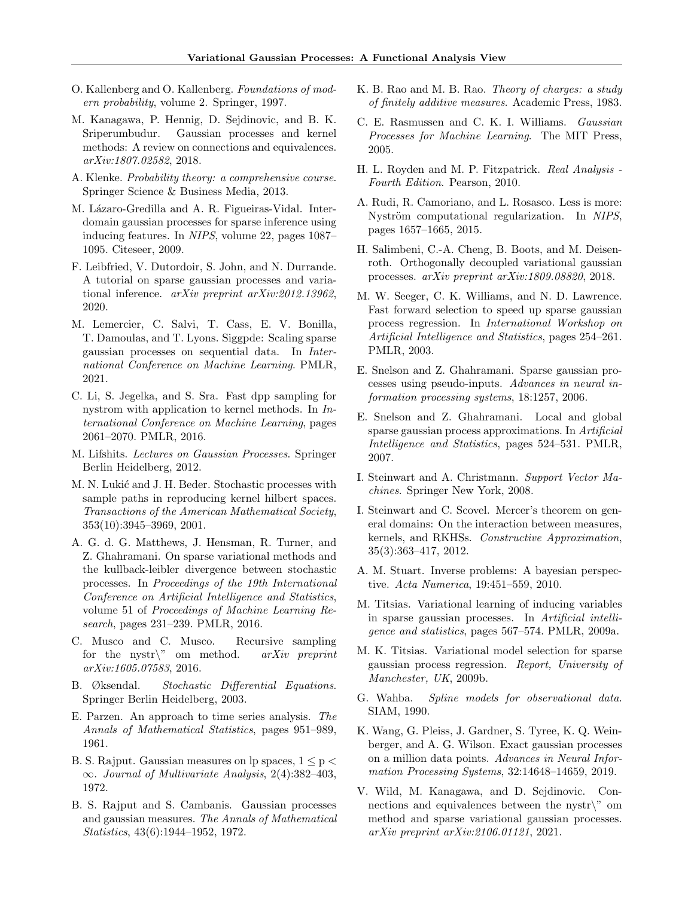- <span id="page-9-15"></span>O. Kallenberg and O. Kallenberg. Foundations of modern probability, volume 2. Springer, 1997.
- <span id="page-9-25"></span>M. Kanagawa, P. Hennig, D. Sejdinovic, and B. K. Sriperumbudur. Gaussian processes and kernel methods: A review on connections and equivalences. arXiv:1807.02582, 2018.
- <span id="page-9-17"></span>A. Klenke. Probability theory: a comprehensive course. Springer Science & Business Media, 2013.
- <span id="page-9-8"></span>M. Lázaro-Gredilla and A. R. Figueiras-Vidal. Interdomain gaussian processes for sparse inference using inducing features. In NIPS, volume 22, pages 1087– 1095. Citeseer, 2009.
- <span id="page-9-7"></span>F. Leibfried, V. Dutordoir, S. John, and N. Durrande. A tutorial on sparse gaussian processes and variational inference. arXiv preprint arXiv:2012.13962, 2020.
- <span id="page-9-9"></span>M. Lemercier, C. Salvi, T. Cass, E. V. Bonilla, T. Damoulas, and T. Lyons. Siggpde: Scaling sparse gaussian processes on sequential data. In International Conference on Machine Learning. PMLR, 2021.
- <span id="page-9-29"></span>C. Li, S. Jegelka, and S. Sra. Fast dpp sampling for nystrom with application to kernel methods. In International Conference on Machine Learning, pages 2061–2070. PMLR, 2016.
- <span id="page-9-11"></span>M. Lifshits. Lectures on Gaussian Processes. Springer Berlin Heidelberg, 2012.
- <span id="page-9-14"></span>M. N. Lukić and J. H. Beder. Stochastic processes with sample paths in reproducing kernel hilbert spaces. Transactions of the American Mathematical Society, 353(10):3945–3969, 2001.
- <span id="page-9-6"></span>A. G. d. G. Matthews, J. Hensman, R. Turner, and Z. Ghahramani. On sparse variational methods and the kullback-leibler divergence between stochastic processes. In Proceedings of the 19th International Conference on Artificial Intelligence and Statistics, volume 51 of Proceedings of Machine Learning Research, pages 231–239. PMLR, 2016.
- <span id="page-9-28"></span>C. Musco and C. Musco. Recursive sampling for the nystr $\mathcal{N}$  om method. arXiv preprint arXiv:1605.07583, 2016.
- <span id="page-9-20"></span>B. Øksendal. Stochastic Differential Equations. Springer Berlin Heidelberg, 2003.
- <span id="page-9-23"></span>E. Parzen. An approach to time series analysis. The Annals of Mathematical Statistics, pages 951–989, 1961.
- <span id="page-9-13"></span>B. S. Rajput. Gaussian measures on lp spaces,  $1 \leq p$  $\infty$ . Journal of Multivariate Analysis, 2(4):382–403, 1972.
- <span id="page-9-12"></span>B. S. Rajput and S. Cambanis. Gaussian processes and gaussian measures. The Annals of Mathematical Statistics, 43(6):1944–1952, 1972.
- <span id="page-9-18"></span>K. B. Rao and M. B. Rao. Theory of charges: a study of finitely additive measures. Academic Press, 1983.
- <span id="page-9-0"></span>C. E. Rasmussen and C. K. I. Williams. Gaussian Processes for Machine Learning. The MIT Press, 2005.
- <span id="page-9-19"></span>H. L. Royden and M. P. Fitzpatrick. Real Analysis - Fourth Edition. Pearson, 2010.
- <span id="page-9-27"></span>A. Rudi, R. Camoriano, and L. Rosasco. Less is more: Nyström computational regularization. In NIPS, pages 1657–1665, 2015.
- <span id="page-9-10"></span>H. Salimbeni, C.-A. Cheng, B. Boots, and M. Deisenroth. Orthogonally decoupled variational gaussian processes. arXiv preprint arXiv:1809.08820, 2018.
- <span id="page-9-1"></span>M. W. Seeger, C. K. Williams, and N. D. Lawrence. Fast forward selection to speed up sparse gaussian process regression. In International Workshop on Artificial Intelligence and Statistics, pages 254–261. PMLR, 2003.
- <span id="page-9-2"></span>E. Snelson and Z. Ghahramani. Sparse gaussian processes using pseudo-inputs. Advances in neural information processing systems, 18:1257, 2006.
- <span id="page-9-3"></span>E. Snelson and Z. Ghahramani. Local and global sparse gaussian process approximations. In Artificial Intelligence and Statistics, pages 524–531. PMLR, 2007.
- <span id="page-9-22"></span>I. Steinwart and A. Christmann. Support Vector Machines. Springer New York, 2008.
- <span id="page-9-21"></span>I. Steinwart and C. Scovel. Mercer's theorem on general domains: On the interaction between measures, kernels, and RKHSs. Constructive Approximation, 35(3):363–417, 2012.
- <span id="page-9-16"></span>A. M. Stuart. Inverse problems: A bayesian perspective. Acta Numerica, 19:451–559, 2010.
- <span id="page-9-4"></span>M. Titsias. Variational learning of inducing variables in sparse gaussian processes. In Artificial intelligence and statistics, pages 567–574. PMLR, 2009a.
- <span id="page-9-30"></span>M. K. Titsias. Variational model selection for sparse gaussian process regression. Report, University of Manchester, UK, 2009b.
- <span id="page-9-24"></span>G. Wahba. Spline models for observational data. SIAM, 1990.
- <span id="page-9-5"></span>K. Wang, G. Pleiss, J. Gardner, S. Tyree, K. Q. Weinberger, and A. G. Wilson. Exact gaussian processes on a million data points. Advances in Neural Information Processing Systems, 32:14648–14659, 2019.
- <span id="page-9-26"></span>V. Wild, M. Kanagawa, and D. Sejdinovic. Connections and equivalences between the nystr $\mathcal{C}$  om method and sparse variational gaussian processes. arXiv preprint arXiv:2106.01121, 2021.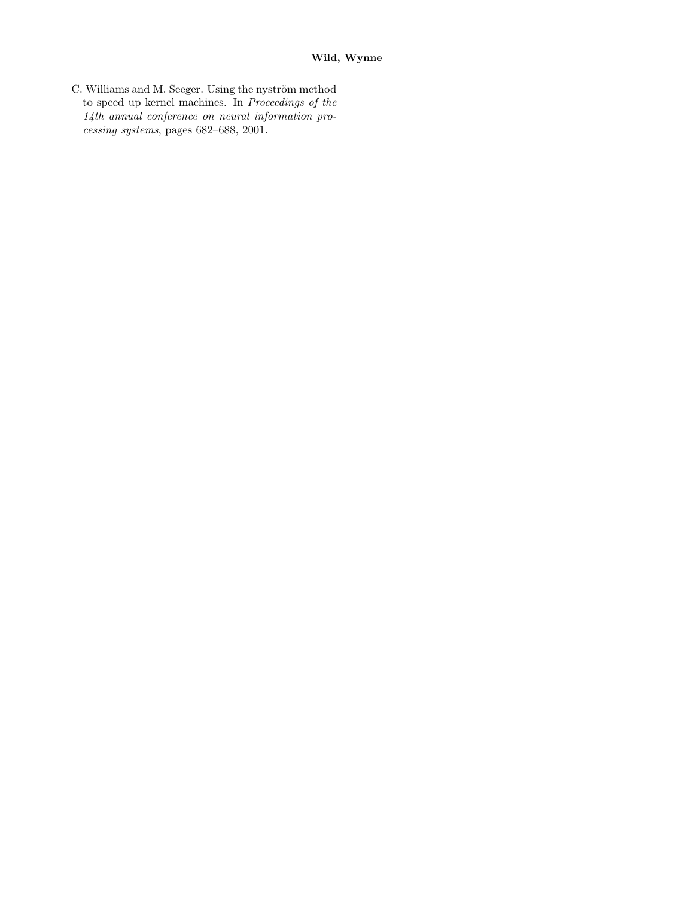<span id="page-10-0"></span>C. Williams and M. Seeger. Using the nyström method to speed up kernel machines. In Proceedings of the 14th annual conference on neural information processing systems, pages 682–688, 2001.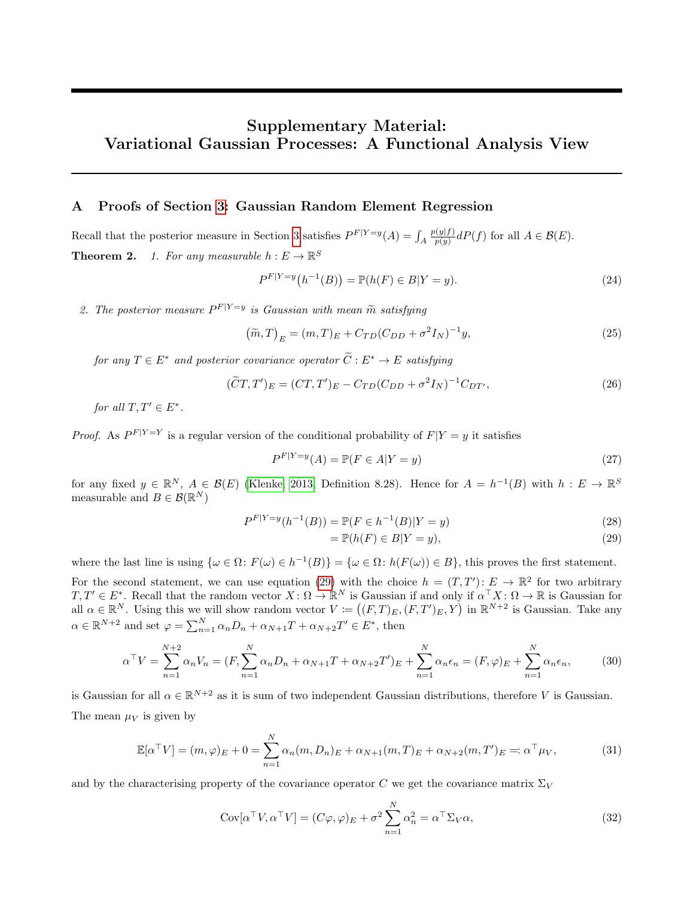# Supplementary Material: Variational Gaussian Processes: A Functional Analysis View

### <span id="page-11-0"></span>A Proofs of Section [3:](#page-2-4) Gaussian Random Element Regression

Recall that the posterior measure in Section [3](#page-2-4) satisfies  $P^{F|Y=y}(A) = \int_A$  $p(y|f)$  $\frac{q(y|f)}{p(y)}dP(f)$  for all  $A \in \mathcal{B}(E)$ . **Theorem 2.** 1. For any measurable  $h: E \to \mathbb{R}^S$ 

$$
P^{F|Y=y}(h^{-1}(B)) = \mathbb{P}(h(F) \in B|Y=y).
$$
\n(24)

2. The posterior measure  $P^{F|Y=y}$  is Gaussian with mean  $\tilde{m}$  satisfying

$$
(\tilde{m},T)_E = (m,T)_E + C_{TD}(C_{DD} + \sigma^2 I_N)^{-1} y,
$$
\n(25)

for any  $T \in E^*$  and posterior covariance operator  $\widetilde{C}: E^* \to E$  satisfying

$$
(\tilde{C}T, T')_E = (CT, T')_E - C_{TD}(C_{DD} + \sigma^2 I_N)^{-1} C_{DT'},
$$
\n(26)

for all  $T, T' \in E^*$ .

*Proof.* As  $P^{F|Y=Y}$  is a regular version of the conditional probability of  $F|Y=y$  it satisfies

$$
P^{F|Y=y}(A) = \mathbb{P}(F \in A|Y=y)
$$
\n<sup>(27)</sup>

for any fixed  $y \in \mathbb{R}^N$ ,  $A \in \mathcal{B}(E)$  [\(Klenke, 2013,](#page-9-17) Definition 8.28). Hence for  $A = h^{-1}(B)$  with  $h: E \to \mathbb{R}^S$ measurable and  $B \in \mathcal{B}(\mathbb{R}^N)$ 

$$
P^{F|Y=y}(h^{-1}(B)) = \mathbb{P}(F \in h^{-1}(B)|Y=y)
$$
\n(28)

<span id="page-11-1"></span>
$$
= \mathbb{P}(h(F) \in B|Y=y),\tag{29}
$$

where the last line is using  $\{\omega \in \Omega : F(\omega) \in h^{-1}(B)\} = \{\omega \in \Omega : h(F(\omega)) \in B\}$ , this proves the first statement.

For the second statement, we can use equation [\(29\)](#page-11-1) with the choice  $h = (T, T') : E \to \mathbb{R}^2$  for two arbitrary  $T, T' \in E^*$ . Recall that the random vector  $X \colon \Omega \to \mathbb{R}^N$  is Gaussian if and only if  $\alpha^{\top} X \colon \Omega \to \mathbb{R}$  is Gaussian for all  $\alpha \in \mathbb{R}^N$ . Using this we will show random vector  $V := ((F, T)_E, (F, T')_E, Y)$  in  $\mathbb{R}^{N+2}$  is Gaussian. Take any  $\alpha \in \mathbb{R}^{N+2}$  and set  $\varphi = \sum_{n=1}^{N} \alpha_n D_n + \alpha_{N+1} T + \alpha_{N+2} T' \in E^*$ , then

$$
\alpha^{\top}V = \sum_{n=1}^{N+2} \alpha_n V_n = (F, \sum_{n=1}^{N} \alpha_n D_n + \alpha_{N+1} T + \alpha_{N+2} T')_E + \sum_{n=1}^{N} \alpha_n \epsilon_n = (F, \varphi)_E + \sum_{n=1}^{N} \alpha_n \epsilon_n, \tag{30}
$$

is Gaussian for all  $\alpha \in \mathbb{R}^{N+2}$  as it is sum of two independent Gaussian distributions, therefore V is Gaussian. The mean  $\mu_V$  is given by

$$
\mathbb{E}[\alpha^{\top} V] = (m, \varphi)_E + 0 = \sum_{n=1}^{N} \alpha_n (m, D_n)_E + \alpha_{N+1} (m, T)_E + \alpha_{N+2} (m, T')_E =: \alpha^{\top} \mu_V,
$$
(31)

and by the characterising property of the covariance operator C we get the covariance matrix  $\Sigma_V$ 

$$
Cov[\alpha^{\top}V, \alpha^{\top}V] = (C\varphi, \varphi)_E + \sigma^2 \sum_{n=1}^{N} \alpha_n^2 = \alpha^{\top} \Sigma_V \alpha,
$$
\n(32)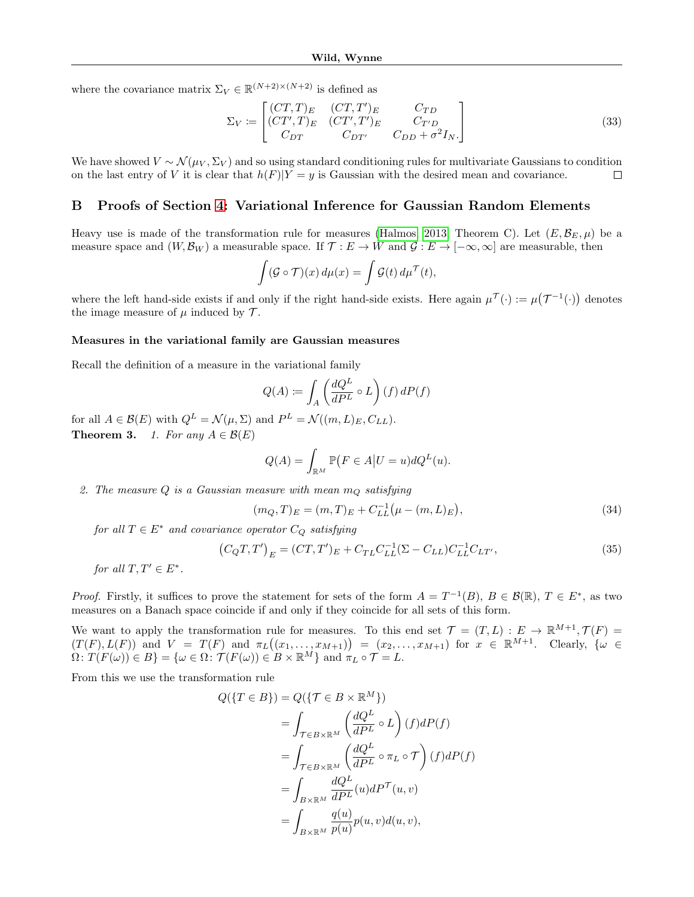where the covariance matrix  $\Sigma_V \in \mathbb{R}^{(N+2)\times(N+2)}$  is defined as

$$
\Sigma_V := \begin{bmatrix} (CT, T)_E & (CT, T')_E & C_{TD} \\ (CT', T)_E & (CT', T')_E & C_{T'D} \\ C_{DT} & C_{DT'} & C_{DD} + \sigma^2 I_N. \end{bmatrix}
$$
(33)

We have showed  $V \sim \mathcal{N}(\mu_V, \Sigma_V)$  and so using standard conditioning rules for multivariate Gaussians to condition on the last entry of V it is clear that  $h(F)|Y=y$  is Gaussian with the desired mean and covariance.  $\Box$ 

#### B Proofs of Section [4:](#page-3-1) Variational Inference for Gaussian Random Elements

Heavy use is made of the transformation rule for measures [\(Halmos, 2013,](#page-8-14) Theorem C). Let  $(E, \mathcal{B}_E, \mu)$  be a measure space and  $(W, \mathcal{B}_W)$  a measurable space. If  $\mathcal{T}: E \to W$  and  $\mathcal{G}: E \to [-\infty, \infty]$  are measurable, then

$$
\int (\mathcal{G} \circ \mathcal{T})(x) d\mu(x) = \int \mathcal{G}(t) d\mu^{\mathcal{T}}(t),
$$

where the left hand-side exists if and only if the right hand-side exists. Here again  $\mu^{\mathcal{T}}(\cdot) := \mu(\mathcal{T}^{-1}(\cdot))$  denotes the image measure of  $\mu$  induced by  $\mathcal{T}$ .

#### Measures in the variational family are Gaussian measures

Recall the definition of a measure in the variational family

$$
Q(A) := \int_A \left(\frac{dQ^L}{dP^L} \circ L\right) (f) dP(f)
$$

for all  $A \in \mathcal{B}(E)$  with  $Q^L = \mathcal{N}(\mu, \Sigma)$  and  $P^L = \mathcal{N}((m, L)_E, C_{LL})$ . **Theorem 3.** 1. For any  $A \in \mathcal{B}(E)$ 

<span id="page-12-1"></span><span id="page-12-0"></span>
$$
Q(A) = \int_{\mathbb{R}^M} \mathbb{P}(F \in A | U = u) dQ^L(u).
$$

2. The measure Q is a Gaussian measure with mean  $m_Q$  satisfying

$$
(m_Q, T)_E = (m, T)_E + C_{LL}^{-1} (\mu - (m, L)_E), \qquad (34)
$$

for all  $T \in E^*$  and covariance operator  $C_Q$  satisfying

$$
(C_{Q}T, T')_{E} = (CT, T')_{E} + C_{TL}C_{LL}^{-1}(\Sigma - C_{LL})C_{LL}^{-1}C_{LT'},
$$
\n(35)

for all  $T, T' \in E^*$ .

*Proof.* Firstly, it suffices to prove the statement for sets of the form  $A = T^{-1}(B)$ ,  $B \in \mathcal{B}(\mathbb{R})$ ,  $T \in E^*$ , as two measures on a Banach space coincide if and only if they coincide for all sets of this form.

We want to apply the transformation rule for measures. To this end set  $\mathcal{T} = (T, L) : E \to \mathbb{R}^{M+1}, \mathcal{T}(F) =$  $(T(F), L(F))$  and  $V = T(F)$  and  $\pi_L((x_1, \ldots, x_{M+1})) = (x_2, \ldots, x_{M+1})$  for  $x \in \mathbb{R}^{M+1}$ . Clearly,  $\{\omega \in$  $\Omega\colon T(F(\omega))\in B\}=\{\omega\in\Omega\colon \mathcal{T}(F(\omega))\in B\times\mathbb{R}^M\}$  and  $\pi_L\circ\mathcal{T}=L.$ 

From this we use the transformation rule

$$
Q(\lbrace T \in B \rbrace) = Q(\lbrace \mathcal{T} \in B \times \mathbb{R}^{M} \rbrace)
$$
  
= 
$$
\int_{\mathcal{T} \in B \times \mathbb{R}^{M}} \left( \frac{dQ^{L}}{dP^{L}} \circ L \right) (f) dP(f)
$$
  
= 
$$
\int_{\mathcal{T} \in B \times \mathbb{R}^{M}} \left( \frac{dQ^{L}}{dP^{L}} \circ \pi_{L} \circ \mathcal{T} \right) (f) dP(f)
$$
  
= 
$$
\int_{B \times \mathbb{R}^{M}} \frac{dQ^{L}}{dP^{L}} (u) dP^{\mathcal{T}} (u, v)
$$
  
= 
$$
\int_{B \times \mathbb{R}^{M}} \frac{q(u)}{p(u)} p(u, v) d(u, v),
$$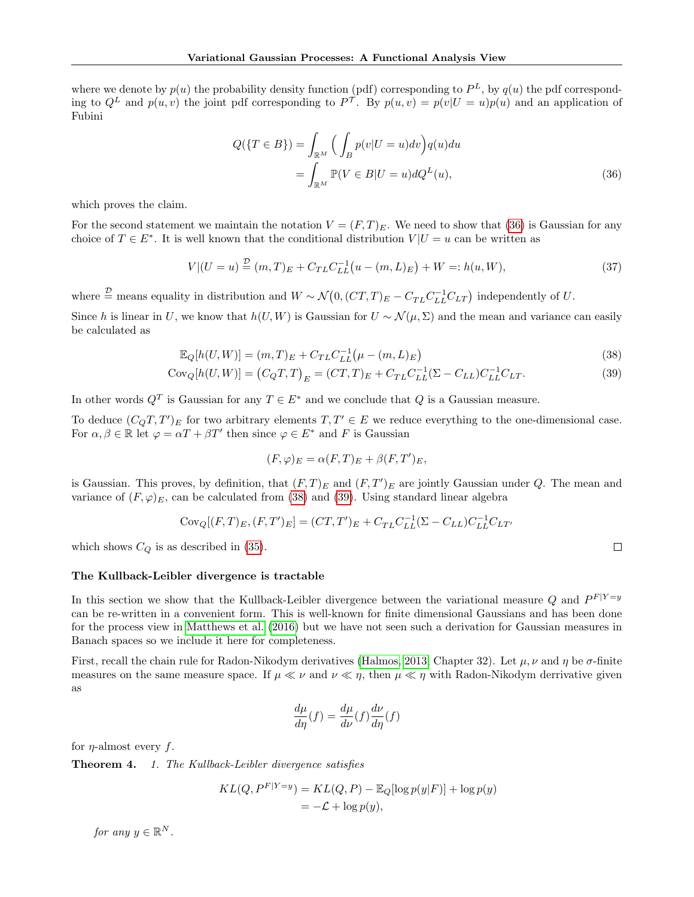where we denote by  $p(u)$  the probability density function (pdf) corresponding to  $P^L$ , by  $q(u)$  the pdf corresponding to  $Q^L$  and  $p(u, v)$  the joint pdf corresponding to  $P^{\mathcal{T}}$ . By  $p(u, v) = p(v|U = u)p(u)$  and an application of Fubini

<span id="page-13-0"></span>
$$
Q(\lbrace T \in B \rbrace) = \int_{\mathbb{R}^M} \Big( \int_B p(v|U=u)dv \Big) q(u)du
$$

$$
= \int_{\mathbb{R}^M} \mathbb{P}(V \in B|U=u) dQ^L(u), \tag{36}
$$

which proves the claim.

For the second statement we maintain the notation  $V = (F, T)_E$ . We need to show that [\(36\)](#page-13-0) is Gaussian for any choice of  $T \in E^*$ . It is well known that the conditional distribution  $V | U = u$  can be written as

$$
V|(U=u) \stackrel{\mathcal{D}}{=} (m,T)_E + C_{TL}C_{LL}^{-1}(u-(m,L)_E) + W =: h(u,W),
$$
\n(37)

where  $\stackrel{\mathcal{D}}{=}$  means equality in distribution and  $W \sim \mathcal{N}(0, (CT, T)_{E} - C_{TL}C_{LL}^{-1}C_{LT})$  independently of U.

Since h is linear in U, we know that  $h(U, W)$  is Gaussian for  $U \sim \mathcal{N}(\mu, \Sigma)$  and the mean and variance can easily be calculated as

$$
\mathbb{E}_{Q}[h(U, W)] = (m, T)_{E} + C_{TL}C_{LL}^{-1}(\mu - (m, L)_{E})
$$
\n(38)

$$
Cov_Q[h(U, W)] = (C_Q T, T)_E = (CT, T)_E + C_{TL}C_{LL}^{-1}(\Sigma - C_{LL})C_{LL}^{-1}C_{LT}.
$$
\n(39)

In other words  $Q^T$  is Gaussian for any  $T \in E^*$  and we conclude that Q is a Gaussian measure.

To deduce  $(C_qT, T')_E$  for two arbitrary elements  $T, T' \in E$  we reduce everything to the one-dimensional case. For  $\alpha, \beta \in \mathbb{R}$  let  $\varphi = \alpha T + \beta T'$  then since  $\varphi \in E^*$  and F is Gaussian

$$
(F, \varphi)_E = \alpha(F, T)_E + \beta(F, T')_E,
$$

is Gaussian. This proves, by definition, that  $(F, T)_E$  and  $(F, T')_E$  are jointly Gaussian under Q. The mean and variance of  $(F, \varphi)_E$ , can be calculated from [\(38\)](#page-13-1) and [\(39\)](#page-13-2). Using standard linear algebra

$$
Cov_Q[(F,T)_E,(F,T')_E] = (CT,T')_E + C_{TL}C_{LL}^{-1}(\Sigma - C_{LL})C_{LL}^{-1}C_{LT'}
$$

which shows  $C_Q$  is as described in [\(35\)](#page-12-0).

#### The Kullback-Leibler divergence is tractable

In this section we show that the Kullback-Leibler divergence between the variational measure Q and  $P^{F|Y=y}$ can be re-written in a convenient form. This is well-known for finite dimensional Gaussians and has been done for the process view in [Matthews et al. \(2016\)](#page-9-6) but we have not seen such a derivation for Gaussian measures in Banach spaces so we include it here for completeness.

First, recall the chain rule for Radon-Nikodym derivatives [\(Halmos, 2013,](#page-8-14) Chapter 32). Let  $\mu$ ,  $\nu$  and  $\eta$  be  $\sigma$ -finite measures on the same measure space. If  $\mu \ll \nu$  and  $\nu \ll \eta$ , then  $\mu \ll \eta$  with Radon-Nikodym derrivative given as

$$
\frac{d\mu}{d\eta}(f) = \frac{d\mu}{d\nu}(f)\frac{d\nu}{d\eta}(f)
$$

for  $\eta$ -almost every f.

Theorem 4. 1. The Kullback-Leibler divergence satisfies

$$
KL(Q, P^{F|Y=y}) = KL(Q, P) - \mathbb{E}_Q[\log p(y|F)] + \log p(y)
$$
  
=  $-\mathcal{L} + \log p(y)$ ,

for any  $y \in \mathbb{R}^N$ .

<span id="page-13-2"></span><span id="page-13-1"></span> $\Box$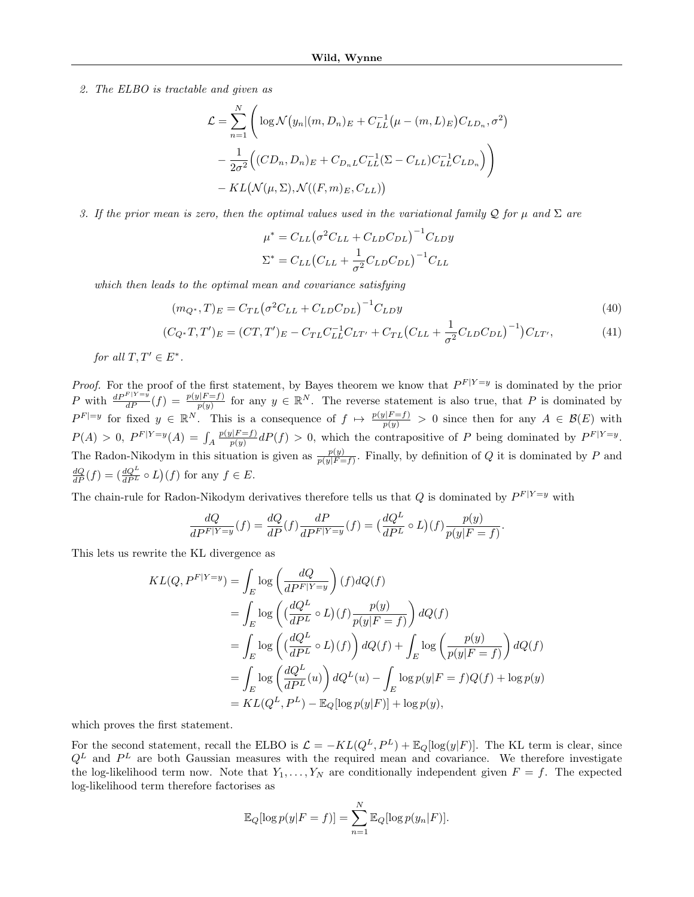2. The ELBO is tractable and given as

$$
\mathcal{L} = \sum_{n=1}^{N} \left( \log \mathcal{N}(y_n | (m, D_n)_E + C_{LL}^{-1} (\mu - (m, L)_E) C_{LD_n}, \sigma^2) \right)
$$
  

$$
- \frac{1}{2\sigma^2} \left( (CD_n, D_n)_E + C_{D_nL} C_{LL}^{-1} (\Sigma - C_{LL}) C_{LL}^{-1} C_{LD_n} \right)
$$
  

$$
- KL(\mathcal{N}(\mu, \Sigma), \mathcal{N}((F, m)_E, C_{LL}))
$$

3. If the prior mean is zero, then the optimal values used in the variational family Q for  $\mu$  and  $\Sigma$  are

<span id="page-14-0"></span>
$$
\mu^* = C_{LL} \left(\sigma^2 C_{LL} + C_{LD} C_{DL}\right)^{-1} C_{LD} y
$$

$$
\Sigma^* = C_{LL} \left(C_{LL} + \frac{1}{\sigma^2} C_{LD} C_{DL}\right)^{-1} C_{LL}
$$

which then leads to the optimal mean and covariance satisfying

$$
(m_{Q^*}, T)_E = C_{TL} (\sigma^2 C_{LL} + C_{LD} C_{DL})^{-1} C_{LD} y
$$
\n(40)

$$
(C_{Q^*}T, T')_E = (CT, T')_E - C_{TL}C_{LL}^{-1}C_{LT'} + C_{TL}(C_{LL} + \frac{1}{\sigma^2}C_{LD}C_{DL})^{-1})C_{LT'},
$$
(41)

for all  $T, T' \in E^*$ .

*Proof.* For the proof of the first statement, by Bayes theorem we know that  $P^{F|Y=y}$  is dominated by the prior P with  $\frac{dP^{F|Y=y}}{dP}(f) = \frac{p(y|F=f)}{p(y)}$  for any  $y \in \mathbb{R}^N$ . The reverse statement is also true, that P is dominated by  $P^{F}|=y$  for fixed  $y \in \mathbb{R}^N$ . This is a consequence of  $f \mapsto \frac{p(y|F=f)}{p(y)} > 0$  since then for any  $A \in \mathcal{B}(E)$  with  $P(A) > 0, P^{F|Y=y}(A) = \int_A$  $p(y|F = f)$  $p(y) \frac{p(y)}{p(y)} dP(f) > 0$ , which the contrapositive of P being dominated by  $P^{F|Y=y}$ . The Radon-Nikodym in this situation is given as  $\frac{p(y)}{p(y|F=f)}$ . Finally, by definition of Q it is dominated by P and  $\frac{dQ}{dP}(f) = \left(\frac{dQ^L}{dP^L} \circ L\right)(f)$  for any  $f \in E$ .

The chain-rule for Radon-Nikodym derivatives therefore tells us that Q is dominated by  $P^{F|Y=y}$  with

$$
\frac{dQ}{dP^F|Y=y}(f) = \frac{dQ}{dP}(f)\frac{dP}{dP^F|Y=y}(f) = \left(\frac{dQ^L}{dP^L} \circ L\right)(f)\frac{p(y)}{p(y|F=f)}.
$$

This lets us rewrite the KL divergence as

$$
KL(Q, P^{F|Y=y}) = \int_{E} \log \left( \frac{dQ}{dP^{F|Y=y}} \right) (f) dQ(f)
$$
  
= 
$$
\int_{E} \log \left( \left( \frac{dQ^{L}}{dP^{L}} \circ L \right) (f) \frac{p(y)}{p(y|F=f)} \right) dQ(f)
$$
  
= 
$$
\int_{E} \log \left( \left( \frac{dQ^{L}}{dP^{L}} \circ L \right) (f) \right) dQ(f) + \int_{E} \log \left( \frac{p(y)}{p(y|F=f)} \right) dQ(f)
$$
  
= 
$$
\int_{E} \log \left( \frac{dQ^{L}}{dP^{L}} (u) \right) dQ^{L}(u) - \int_{E} \log p(y|F=f) Q(f) + \log p(y)
$$
  
= 
$$
KL(Q^{L}, P^{L}) - \mathbb{E}_{Q} [\log p(y|F)] + \log p(y),
$$

which proves the first statement.

For the second statement, recall the ELBO is  $\mathcal{L} = -KL(Q^L, P^L) + \mathbb{E}_Q[log(y|F)]$ . The KL term is clear, since  $Q^L$  and  $P^L$  are both Gaussian measures with the required mean and covariance. We therefore investigate the log-likelihood term now. Note that  $Y_1, \ldots, Y_N$  are conditionally independent given  $F = f$ . The expected log-likelihood term therefore factorises as

$$
\mathbb{E}_Q[\log p(y|F = f)] = \sum_{n=1}^N \mathbb{E}_Q[\log p(y_n|F)].
$$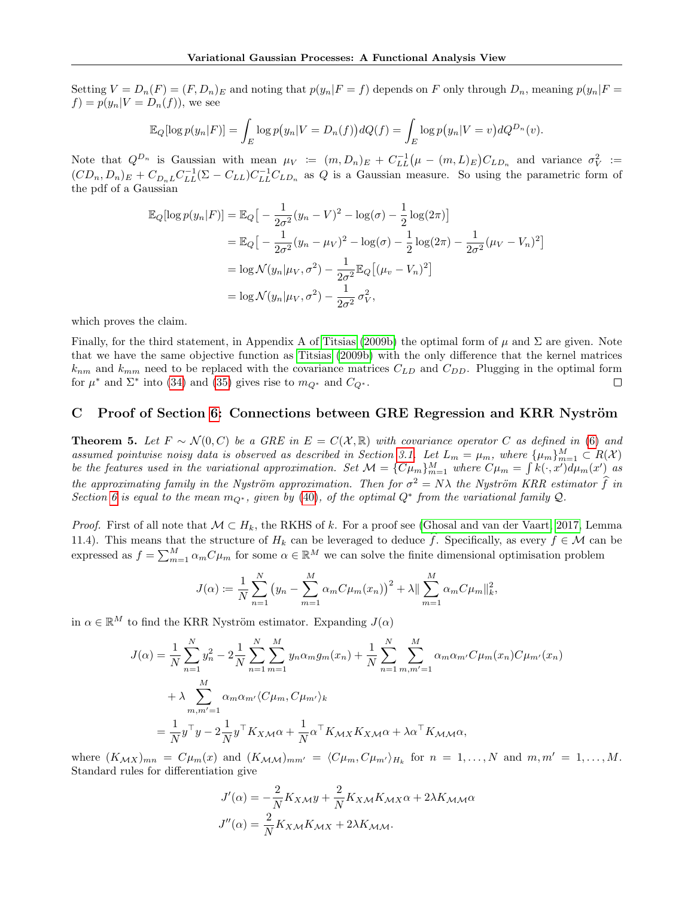Setting  $V = D_n(F) = (F, D_n)_E$  and noting that  $p(y_n|F = f)$  depends on F only through  $D_n$ , meaning  $p(y_n|F = f)$  $f) = p(y_n|V = D_n(f))$ , we see

$$
\mathbb{E}_Q[\log p(y_n|F)] = \int_E \log p(y_n|V = D_n(f)) dQ(f) = \int_E \log p(y_n|V = v) dQ^{D_n}(v).
$$

Note that  $Q^{D_n}$  is Gaussian with mean  $\mu_V := (m, D_n)_E + C_{LL}^{-1} (\mu - (m, L)_E) C_{LD_n}$  and variance  $\sigma_V^2 :=$  $(CD_n, D_n)_E + C_{D_nL}C_{LL}^{-1}(\Sigma - C_{LL})C_{LL}^{-1}C_{LD_n}$  as Q is a Gaussian measure. So using the parametric form of the pdf of a Gaussian

$$
\mathbb{E}_{Q}[\log p(y_{n}|F)] = \mathbb{E}_{Q}\big[-\frac{1}{2\sigma^{2}}(y_{n}-V)^{2} - \log(\sigma) - \frac{1}{2}\log(2\pi)\big] \n= \mathbb{E}_{Q}\big[-\frac{1}{2\sigma^{2}}(y_{n}-\mu_{V})^{2} - \log(\sigma) - \frac{1}{2}\log(2\pi) - \frac{1}{2\sigma^{2}}(\mu_{V}-V_{n})^{2}\big] \n= \log \mathcal{N}(y_{n}|\mu_{V}, \sigma^{2}) - \frac{1}{2\sigma^{2}}\mathbb{E}_{Q}\big[(\mu_{v}-V_{n})^{2}\big] \n= \log \mathcal{N}(y_{n}|\mu_{V}, \sigma^{2}) - \frac{1}{2\sigma^{2}}\sigma_{V}^{2},
$$

which proves the claim.

Finally, for the third statement, in Appendix A of [Titsias \(2009b\)](#page-9-30) the optimal form of  $\mu$  and  $\Sigma$  are given. Note that we have the same objective function as [Titsias \(2009b\)](#page-9-30) with the only difference that the kernel matrices  $k_{nm}$  and  $k_{mm}$  need to be replaced with the covariance matrices  $C_{LD}$  and  $C_{DD}$ . Plugging in the optimal form for  $\mu^*$  and  $\Sigma^*$  into [\(34\)](#page-12-1) and [\(35\)](#page-12-0) gives rise to  $m_{Q^*}$  and  $C_{Q^*}$ .  $\Box$ 

### <span id="page-15-0"></span>C Proof of Section [6:](#page-7-7) Connections between GRE Regression and KRR Nyström

**Theorem 5.** Let  $F \sim \mathcal{N}(0, C)$  be a GRE in  $E = C(\mathcal{X}, \mathbb{R})$  with covariance operator C as defined in [\(6\)](#page-3-2) and assumed pointwise noisy data is observed as described in Section [3.1.](#page-2-3) Let  $L_m = \mu_m$ , where  $\{\mu_m\}_{m=1}^M \subset R(\mathcal{X})$ be the features used in the variational approximation. Set  $\mathcal{M} = \{C\mu_m\}_{m=1}^M$  where  $C\mu_m = \int k(\cdot, x')d\mu_m(x')$  as the approximating family in the Nyström approximation. Then for  $\sigma^2 = N\lambda$  the Nyström KRR estimator  $\hat{f}$  in Section [6](#page-7-7) is equal to the mean  $m_{Q^*}$ , given by [\(40\)](#page-14-0), of the optimal  $Q^*$  from the variational family  $Q$ .

*Proof.* First of all note that  $M \subset H_k$ , the RKHS of k. For a proof see [\(Ghosal and van der Vaart, 2017,](#page-8-10) Lemma 11.4). This means that the structure of  $H_k$  can be leveraged to deduce  $\hat{f}$ . Specifically, as every  $f \in \mathcal{M}$  can be expressed as  $f = \sum_{m=1}^{M} \alpha_m C \mu_m$  for some  $\alpha \in \mathbb{R}^M$  we can solve the finite dimensional optimisation problem

$$
J(\alpha) := \frac{1}{N} \sum_{n=1}^{N} (y_n - \sum_{m=1}^{M} \alpha_m C \mu_m(x_n))^2 + \lambda || \sum_{m=1}^{M} \alpha_m C \mu_m ||_k^2,
$$

in  $\alpha \in \mathbb{R}^M$  to find the KRR Nyström estimator. Expanding  $J(\alpha)$ 

$$
J(\alpha) = \frac{1}{N} \sum_{n=1}^{N} y_n^2 - 2 \frac{1}{N} \sum_{n=1}^{N} \sum_{m=1}^{M} y_n \alpha_m g_m(x_n) + \frac{1}{N} \sum_{n=1}^{N} \sum_{m,m'=1}^{M} \alpha_m \alpha_{m'} C \mu_m(x_n) C \mu_{m'}(x_n)
$$
  
+ 
$$
\lambda \sum_{m,m'=1}^{M} \alpha_m \alpha_{m'} \langle C \mu_m, C \mu_{m'} \rangle_k
$$
  
= 
$$
\frac{1}{N} y^\top y - 2 \frac{1}{N} y^\top K_{X \mathcal{M}} \alpha + \frac{1}{N} \alpha^\top K_{\mathcal{M}} K_{X \mathcal{M}} \alpha + \lambda \alpha^\top K_{\mathcal{M} \mathcal{M}} \alpha,
$$

where  $(K_{\mathcal{M}X})_{mn} = C\mu_m(x)$  and  $(K_{\mathcal{M}\mathcal{M}})_{mm'} = \langle C\mu_m, C\mu_{m'}\rangle_{H_k}$  for  $n = 1, \ldots, N$  and  $m, m' = 1, \ldots, M$ . Standard rules for differentiation give

$$
J'(\alpha) = -\frac{2}{N}K_{X\mathcal{M}}y + \frac{2}{N}K_{X\mathcal{M}}K_{\mathcal{M}X}\alpha + 2\lambda K_{\mathcal{M}\mathcal{M}}\alpha
$$

$$
J''(\alpha) = \frac{2}{N}K_{X\mathcal{M}}K_{\mathcal{M}X} + 2\lambda K_{\mathcal{M}\mathcal{M}}.
$$